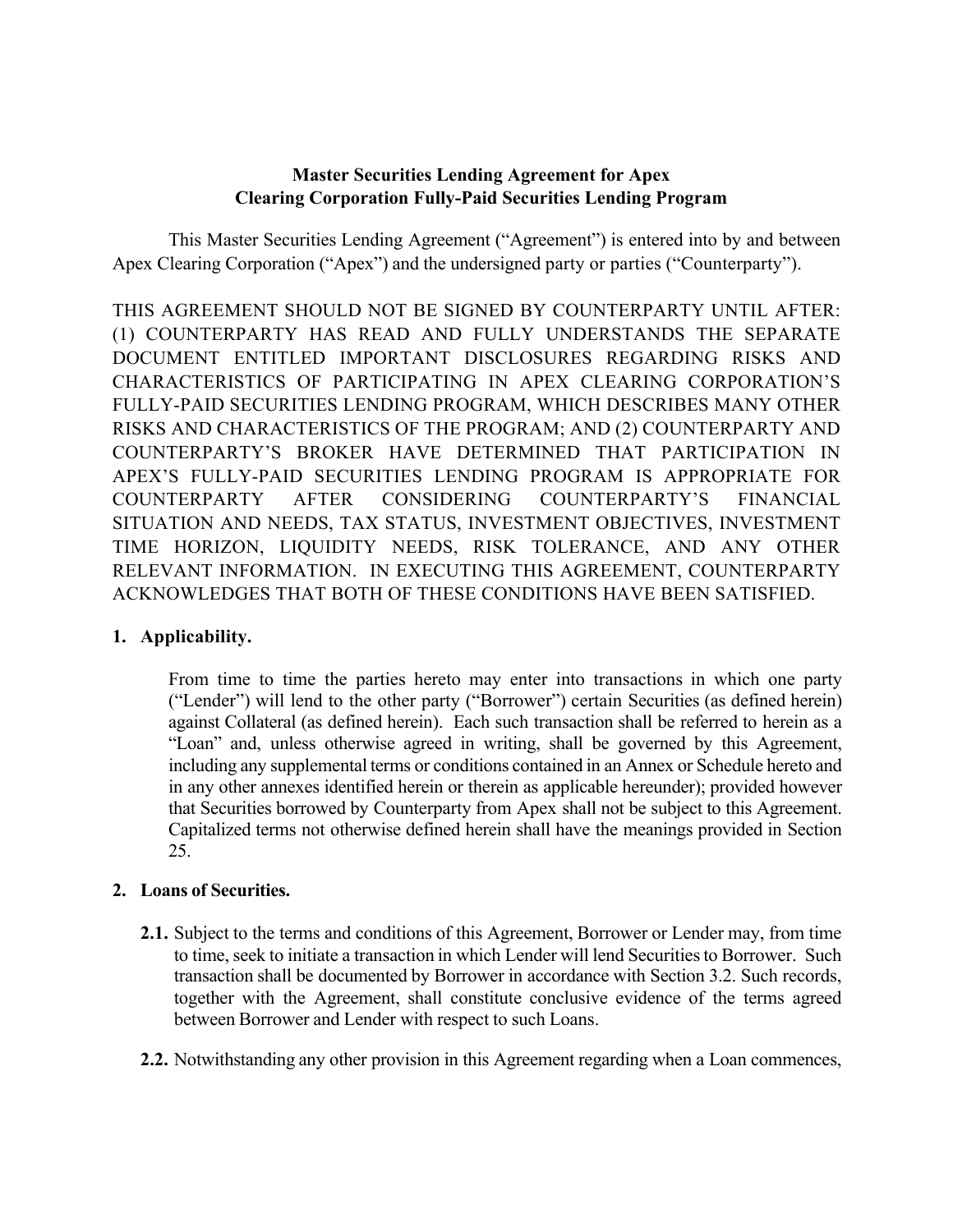## **Master Securities Lending Agreement for Apex Clearing Corporation Fully-Paid Securities Lending Program**

This Master Securities Lending Agreement ("Agreement") is entered into by and between Apex Clearing Corporation ("Apex") and the undersigned party or parties ("Counterparty").

THIS AGREEMENT SHOULD NOT BE SIGNED BY COUNTERPARTY UNTIL AFTER: (1) COUNTERPARTY HAS READ AND FULLY UNDERSTANDS THE SEPARATE DOCUMENT ENTITLED IMPORTANT DISCLOSURES REGARDING RISKS AND CHARACTERISTICS OF PARTICIPATING IN APEX CLEARING CORPORATION'S FULLY-PAID SECURITIES LENDING PROGRAM, WHICH DESCRIBES MANY OTHER RISKS AND CHARACTERISTICS OF THE PROGRAM; AND (2) COUNTERPARTY AND COUNTERPARTY'S BROKER HAVE DETERMINED THAT PARTICIPATION IN APEX'S FULLY-PAID SECURITIES LENDING PROGRAM IS APPROPRIATE FOR COUNTERPARTY AFTER CONSIDERING COUNTERPARTY'S FINANCIAL SITUATION AND NEEDS, TAX STATUS, INVESTMENT OBJECTIVES, INVESTMENT TIME HORIZON, LIQUIDITY NEEDS, RISK TOLERANCE, AND ANY OTHER RELEVANT INFORMATION. IN EXECUTING THIS AGREEMENT, COUNTERPARTY ACKNOWLEDGES THAT BOTH OF THESE CONDITIONS HAVE BEEN SATISFIED.

## **1. Applicability.**

From time to time the parties hereto may enter into transactions in which one party ("Lender") will lend to the other party ("Borrower") certain Securities (as defined herein) against Collateral (as defined herein). Each such transaction shall be referred to herein as a "Loan" and, unless otherwise agreed in writing, shall be governed by this Agreement, including any supplemental terms or conditions contained in an Annex or Schedule hereto and in any other annexes identified herein or therein as applicable hereunder); provided however that Securities borrowed by Counterparty from Apex shall not be subject to this Agreement. Capitalized terms not otherwise defined herein shall have the meanings provided in Section 25.

## **2. Loans of Securities.**

- **2.1.** Subject to the terms and conditions of this Agreement, Borrower or Lender may, from time to time, seek to initiate a transaction in which Lender will lend Securitiesto Borrower. Such transaction shall be documented by Borrower in accordance with Section 3.2. Such records, together with the Agreement, shall constitute conclusive evidence of the terms agreed between Borrower and Lender with respect to such Loans.
- **2.2.** Notwithstanding any other provision in this Agreement regarding when a Loan commences,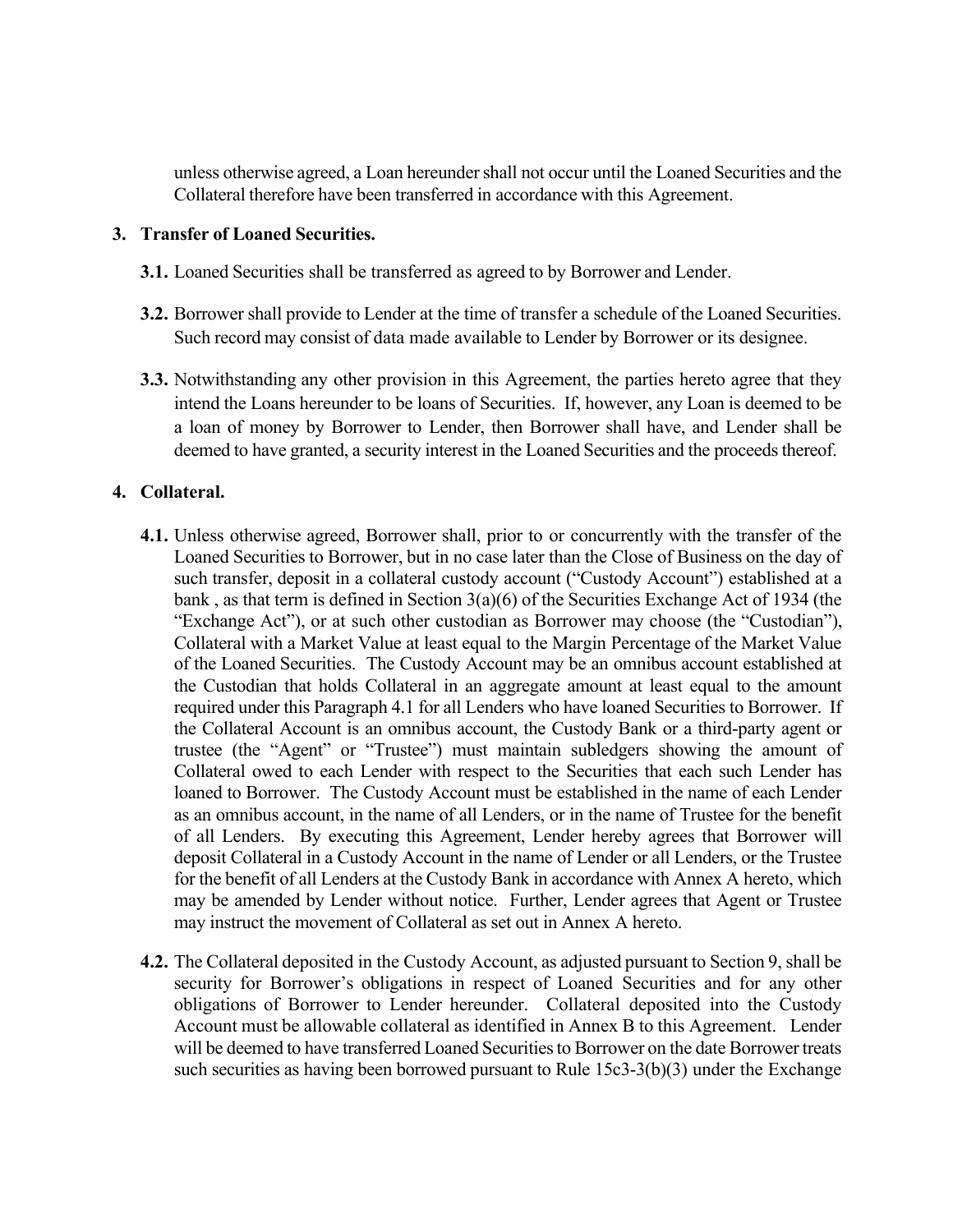unless otherwise agreed, a Loan hereundershall not occur until the Loaned Securities and the Collateral therefore have been transferred in accordance with this Agreement.

### **3. Transfer of Loaned Securities.**

- **3.1.** Loaned Securities shall be transferred as agreed to by Borrower and Lender.
- **3.2.** Borrower shall provide to Lender at the time of transfer a schedule of the Loaned Securities. Such record may consist of data made available to Lender by Borrower or its designee.
- **3.3.** Notwithstanding any other provision in this Agreement, the parties hereto agree that they intend the Loans hereunder to be loans of Securities. If, however, any Loan is deemed to be a loan of money by Borrower to Lender, then Borrower shall have, and Lender shall be deemed to have granted, a security interest in the Loaned Securities and the proceeds thereof.

### **4. Collateral.**

- **4.1.** Unless otherwise agreed, Borrower shall, prior to or concurrently with the transfer of the Loaned Securities to Borrower, but in no case later than the Close of Business on the day of such transfer, deposit in a collateral custody account ("Custody Account") established at a bank , as that term is defined in Section 3(a)(6) of the Securities Exchange Act of 1934 (the "Exchange Act"), or at such other custodian as Borrower may choose (the "Custodian"), Collateral with a Market Value at least equal to the Margin Percentage of the Market Value of the Loaned Securities. The Custody Account may be an omnibus account established at the Custodian that holds Collateral in an aggregate amount at least equal to the amount required under this Paragraph 4.1 for all Lenders who have loaned Securities to Borrower. If the Collateral Account is an omnibus account, the Custody Bank or a third-party agent or trustee (the "Agent" or "Trustee") must maintain subledgers showing the amount of Collateral owed to each Lender with respect to the Securities that each such Lender has loaned to Borrower. The Custody Account must be established in the name of each Lender as an omnibus account, in the name of all Lenders, or in the name of Trustee for the benefit of all Lenders. By executing this Agreement, Lender hereby agrees that Borrower will deposit Collateral in a Custody Account in the name of Lender or all Lenders, or the Trustee for the benefit of all Lenders at the Custody Bank in accordance with Annex A hereto, which may be amended by Lender without notice. Further, Lender agrees that Agent or Trustee may instruct the movement of Collateral as set out in Annex A hereto.
- **4.2.** The Collateral deposited in the Custody Account, as adjusted pursuant to Section 9, shall be security for Borrower's obligations in respect of Loaned Securities and for any other obligations of Borrower to Lender hereunder. Collateral deposited into the Custody Account must be allowable collateral as identified in Annex B to this Agreement. Lender will be deemed to have transferred Loaned Securitiesto Borrower on the date Borrower treats such securities as having been borrowed pursuant to Rule 15c3-3(b)(3) under the Exchange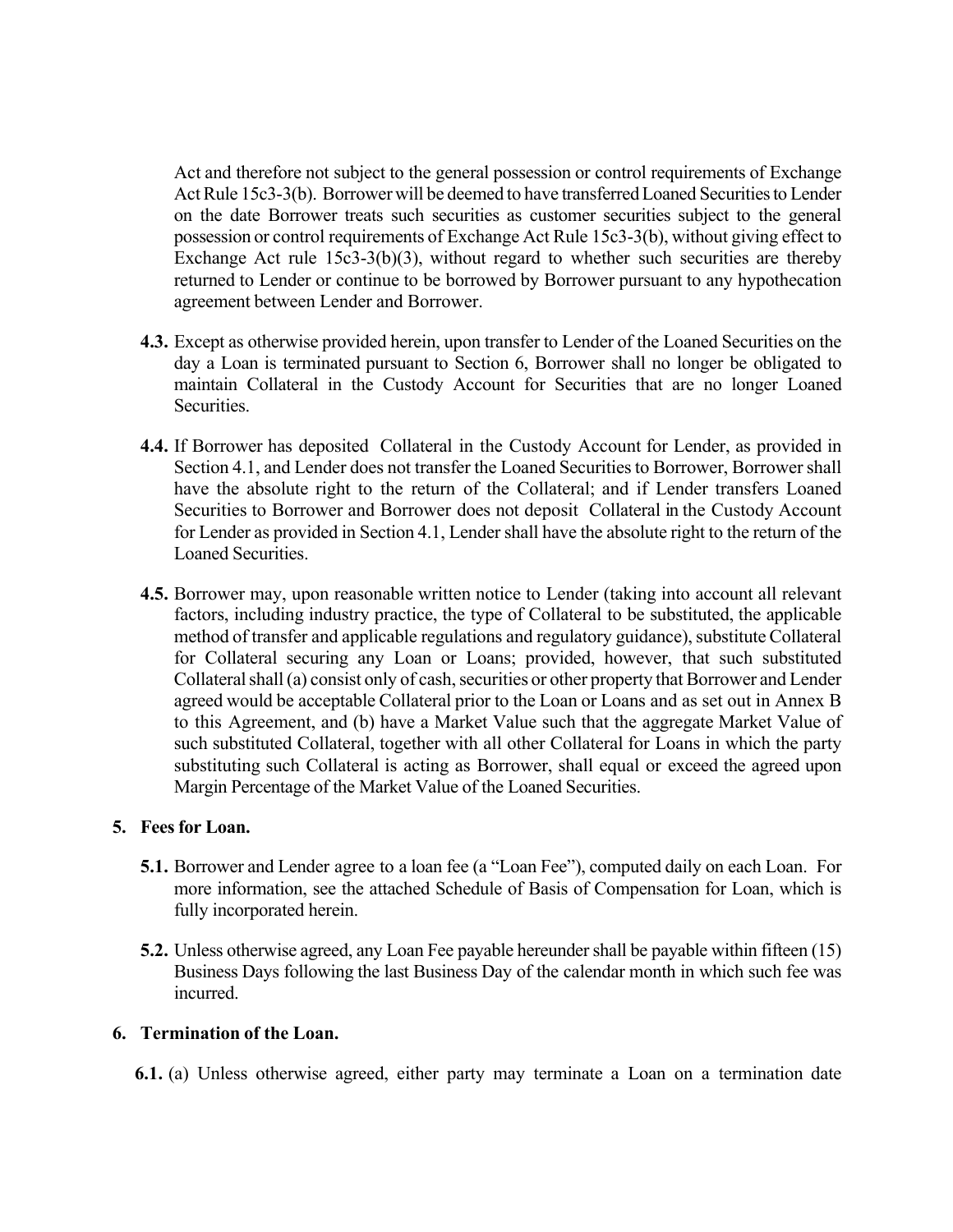Act and therefore not subject to the general possession or control requirements of Exchange Act Rule 15c3-3(b). Borrower will be deemed to have transferred Loaned Securities to Lender on the date Borrower treats such securities as customer securities subject to the general possession or control requirements of Exchange Act Rule 15c3-3(b), without giving effect to Exchange Act rule 15c3-3(b)(3), without regard to whether such securities are thereby returned to Lender or continue to be borrowed by Borrower pursuant to any hypothecation agreement between Lender and Borrower.

- **4.3.** Except as otherwise provided herein, upon transfer to Lender of the Loaned Securities on the day a Loan is terminated pursuant to Section 6, Borrower shall no longer be obligated to maintain Collateral in the Custody Account for Securities that are no longer Loaned Securities.
- **4.4.** If Borrower has deposited Collateral in the Custody Account for Lender, as provided in Section 4.1, and Lender does not transfer the Loaned Securities to Borrower, Borrower shall have the absolute right to the return of the Collateral; and if Lender transfers Loaned Securities to Borrower and Borrower does not deposit Collateral in the Custody Account for Lender as provided in Section 4.1, Lender shall have the absolute right to the return of the Loaned Securities.
- **4.5.** Borrower may, upon reasonable written notice to Lender (taking into account all relevant factors, including industry practice, the type of Collateral to be substituted, the applicable method of transfer and applicable regulations and regulatory guidance), substitute Collateral for Collateral securing any Loan or Loans; provided, however, that such substituted Collateral shall (a) consist only of cash, securities or other property that Borrower and Lender agreed would be acceptable Collateral prior to the Loan or Loans and as set out in Annex B to this Agreement, and (b) have a Market Value such that the aggregate Market Value of such substituted Collateral, together with all other Collateral for Loans in which the party substituting such Collateral is acting as Borrower, shall equal or exceed the agreed upon Margin Percentage of the Market Value of the Loaned Securities.

### **5. Fees for Loan.**

- **5.1.** Borrower and Lender agree to a loan fee (a "Loan Fee"), computed daily on each Loan. For more information, see the attached Schedule of Basis of Compensation for Loan, which is fully incorporated herein.
- **5.2.** Unless otherwise agreed, any Loan Fee payable hereunder shall be payable within fifteen (15) Business Days following the last Business Day of the calendar month in which such fee was incurred.

### **6. Termination of the Loan.**

**6.1.** (a) Unless otherwise agreed, either party may terminate a Loan on a termination date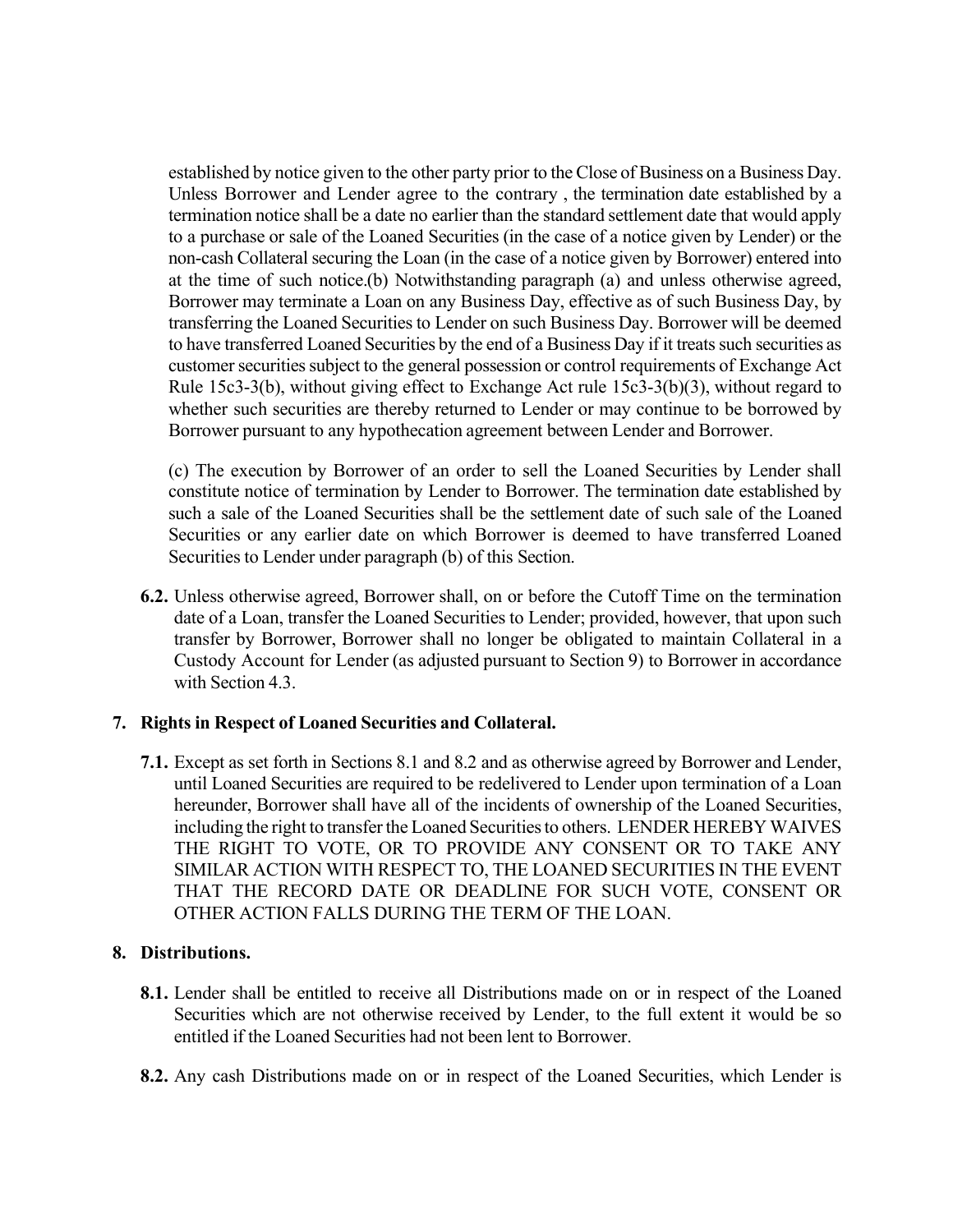established by notice given to the other party prior to the Close of Business on a Business Day. Unless Borrower and Lender agree to the contrary , the termination date established by a termination notice shall be a date no earlier than the standard settlement date that would apply to a purchase or sale of the Loaned Securities (in the case of a notice given by Lender) or the non-cash Collateral securing the Loan (in the case of a notice given by Borrower) entered into at the time of such notice.(b) Notwithstanding paragraph (a) and unless otherwise agreed, Borrower may terminate a Loan on any Business Day, effective as of such Business Day, by transferring the Loaned Securitiesto Lender on such Business Day. Borrower will be deemed to have transferred Loaned Securities by the end of a Business Day if it treats such securities as customer securities subject to the general possession or control requirements of Exchange Act Rule 15c3-3(b), without giving effect to Exchange Act rule 15c3-3(b)(3), without regard to whether such securities are thereby returned to Lender or may continue to be borrowed by Borrower pursuant to any hypothecation agreement between Lender and Borrower.

(c) The execution by Borrower of an order to sell the Loaned Securities by Lender shall constitute notice of termination by Lender to Borrower. The termination date established by such a sale of the Loaned Securities shall be the settlement date of such sale of the Loaned Securities or any earlier date on which Borrower is deemed to have transferred Loaned Securities to Lender under paragraph (b) of this Section.

**6.2.** Unless otherwise agreed, Borrower shall, on or before the Cutoff Time on the termination date of a Loan, transfer the Loaned Securities to Lender; provided, however, that upon such transfer by Borrower, Borrower shall no longer be obligated to maintain Collateral in a Custody Account for Lender (as adjusted pursuant to Section 9) to Borrower in accordance with Section 4.3.

## **7. Rights in Respect of Loaned Securities and Collateral.**

**7.1.** Except as set forth in Sections 8.1 and 8.2 and as otherwise agreed by Borrower and Lender, until Loaned Securities are required to be redelivered to Lender upon termination of a Loan hereunder, Borrower shall have all of the incidents of ownership of the Loaned Securities, including the right to transferthe Loaned Securitiesto others. LENDER HEREBY WAIVES THE RIGHT TO VOTE, OR TO PROVIDE ANY CONSENT OR TO TAKE ANY SIMILAR ACTION WITH RESPECT TO, THE LOANED SECURITIES IN THE EVENT THAT THE RECORD DATE OR DEADLINE FOR SUCH VOTE, CONSENT OR OTHER ACTION FALLS DURING THE TERM OF THE LOAN.

## **8. Distributions.**

- **8.1.** Lender shall be entitled to receive all Distributions made on or in respect of the Loaned Securities which are not otherwise received by Lender, to the full extent it would be so entitled if the Loaned Securities had not been lent to Borrower.
- **8.2.** Any cash Distributions made on or in respect of the Loaned Securities, which Lender is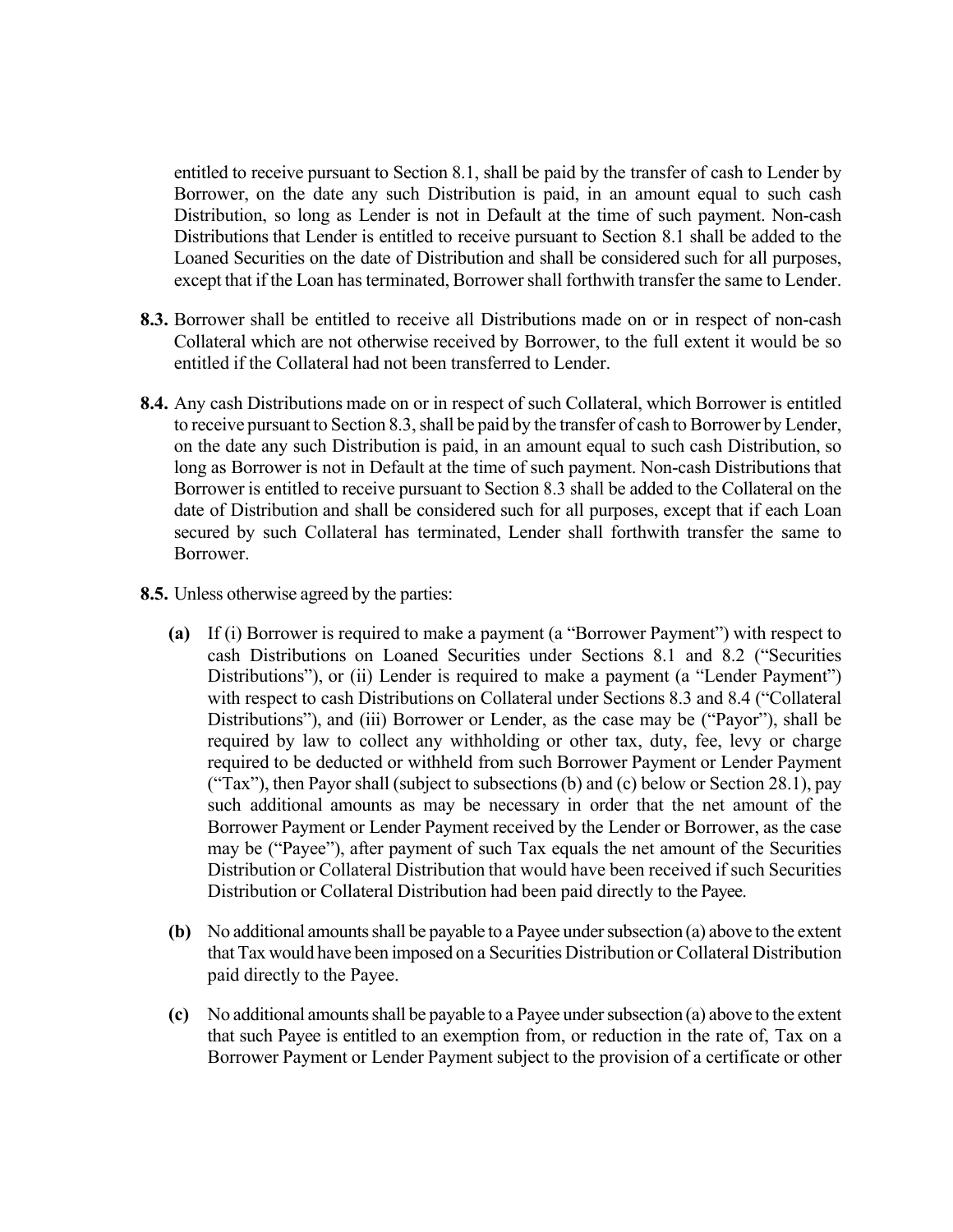entitled to receive pursuant to Section 8.1, shall be paid by the transfer of cash to Lender by Borrower, on the date any such Distribution is paid, in an amount equal to such cash Distribution, so long as Lender is not in Default at the time of such payment. Non-cash Distributions that Lender is entitled to receive pursuant to Section 8.1 shall be added to the Loaned Securities on the date of Distribution and shall be considered such for all purposes, except that if the Loan has terminated, Borrower shall forthwith transfer the same to Lender.

- **8.3.** Borrower shall be entitled to receive all Distributions made on or in respect of non-cash Collateral which are not otherwise received by Borrower, to the full extent it would be so entitled if the Collateral had not been transferred to Lender.
- **8.4.** Any cash Distributions made on or in respect of such Collateral, which Borrower is entitled to receive pursuant to Section 8.3, shall be paid by the transfer of cash to Borrower by Lender, on the date any such Distribution is paid, in an amount equal to such cash Distribution, so long as Borrower is not in Default at the time of such payment. Non-cash Distributions that Borrower is entitled to receive pursuant to Section 8.3 shall be added to the Collateral on the date of Distribution and shall be considered such for all purposes, except that if each Loan secured by such Collateral has terminated, Lender shall forthwith transfer the same to Borrower.
- **8.5.** Unless otherwise agreed by the parties:
	- **(a)** If (i) Borrower is required to make a payment (a "Borrower Payment") with respect to cash Distributions on Loaned Securities under Sections 8.1 and 8.2 ("Securities Distributions"), or (ii) Lender is required to make a payment (a "Lender Payment") with respect to cash Distributions on Collateral under Sections 8.3 and 8.4 ("Collateral Distributions"), and (iii) Borrower or Lender, as the case may be ("Payor"), shall be required by law to collect any withholding or other tax, duty, fee, levy or charge required to be deducted or withheld from such Borrower Payment or Lender Payment ("Tax"), then Payor shall (subject to subsections (b) and (c) below or Section 28.1), pay such additional amounts as may be necessary in order that the net amount of the Borrower Payment or Lender Payment received by the Lender or Borrower, as the case may be ("Payee"), after payment of such Tax equals the net amount of the Securities Distribution or Collateral Distribution that would have been received if such Securities Distribution or Collateral Distribution had been paid directly to the Payee.
	- **(b)** No additional amounts shall be payable to a Payee under subsection (a) above to the extent that Tax would have been imposed on a Securities Distribution or Collateral Distribution paid directly to the Payee.
	- **(c)** No additional amounts shall be payable to a Payee under subsection (a) above to the extent that such Payee is entitled to an exemption from, or reduction in the rate of, Tax on a Borrower Payment or Lender Payment subject to the provision of a certificate or other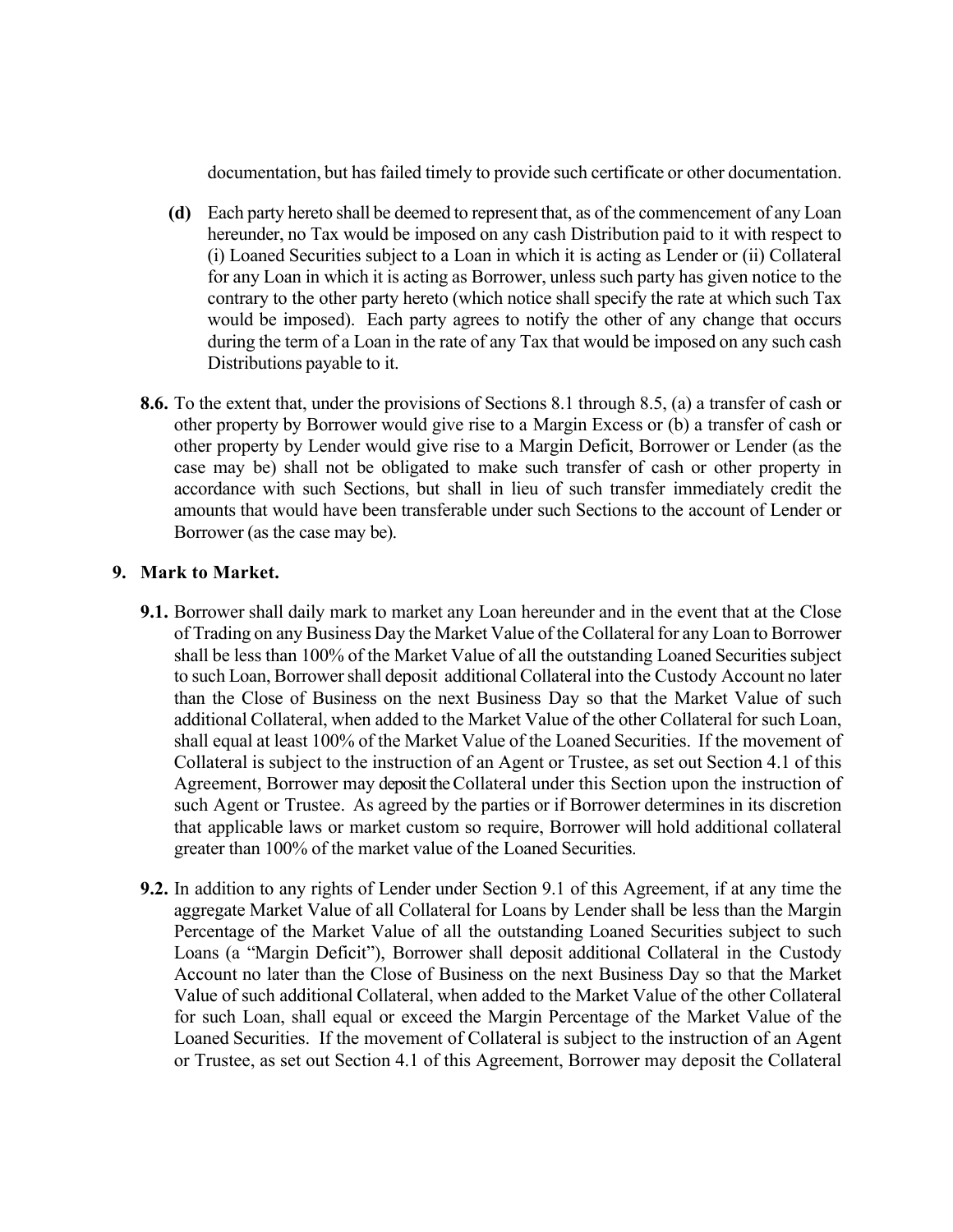documentation, but has failed timely to provide such certificate or other documentation.

- **(d)** Each party hereto shall be deemed to represent that, as of the commencement of any Loan hereunder, no Tax would be imposed on any cash Distribution paid to it with respect to (i) Loaned Securities subject to a Loan in which it is acting as Lender or (ii) Collateral for any Loan in which it is acting as Borrower, unless such party has given notice to the contrary to the other party hereto (which notice shall specify the rate at which such Tax would be imposed). Each party agrees to notify the other of any change that occurs during the term of a Loan in the rate of any Tax that would be imposed on any such cash Distributions payable to it.
- **8.6.** To the extent that, under the provisions of Sections 8.1 through 8.5, (a) a transfer of cash or other property by Borrower would give rise to a Margin Excess or (b) a transfer of cash or other property by Lender would give rise to a Margin Deficit, Borrower or Lender (as the case may be) shall not be obligated to make such transfer of cash or other property in accordance with such Sections, but shall in lieu of such transfer immediately credit the amounts that would have been transferable under such Sections to the account of Lender or Borrower (as the case may be).

### **9. Mark to Market.**

- **9.1.** Borrower shall daily mark to market any Loan hereunder and in the event that at the Close of Trading on any Business Day the Market Value of the Collateral for any Loan to Borrower shall be less than 100% of the Market Value of all the outstanding Loaned Securities subject to such Loan, Borrower shall deposit additional Collateral into the Custody Account no later than the Close of Business on the next Business Day so that the Market Value of such additional Collateral, when added to the Market Value of the other Collateral for such Loan, shall equal at least 100% of the Market Value of the Loaned Securities. If the movement of Collateral is subject to the instruction of an Agent or Trustee, as set out Section 4.1 of this Agreement, Borrower may deposit the Collateral under this Section upon the instruction of such Agent or Trustee. As agreed by the parties or if Borrower determines in its discretion that applicable laws or market custom so require, Borrower will hold additional collateral greater than 100% of the market value of the Loaned Securities.
- **9.2.** In addition to any rights of Lender under Section 9.1 of this Agreement, if at any time the aggregate Market Value of all Collateral for Loans by Lender shall be less than the Margin Percentage of the Market Value of all the outstanding Loaned Securities subject to such Loans (a "Margin Deficit"), Borrower shall deposit additional Collateral in the Custody Account no later than the Close of Business on the next Business Day so that the Market Value of such additional Collateral, when added to the Market Value of the other Collateral for such Loan, shall equal or exceed the Margin Percentage of the Market Value of the Loaned Securities. If the movement of Collateral is subject to the instruction of an Agent or Trustee, as set out Section 4.1 of this Agreement, Borrower may deposit the Collateral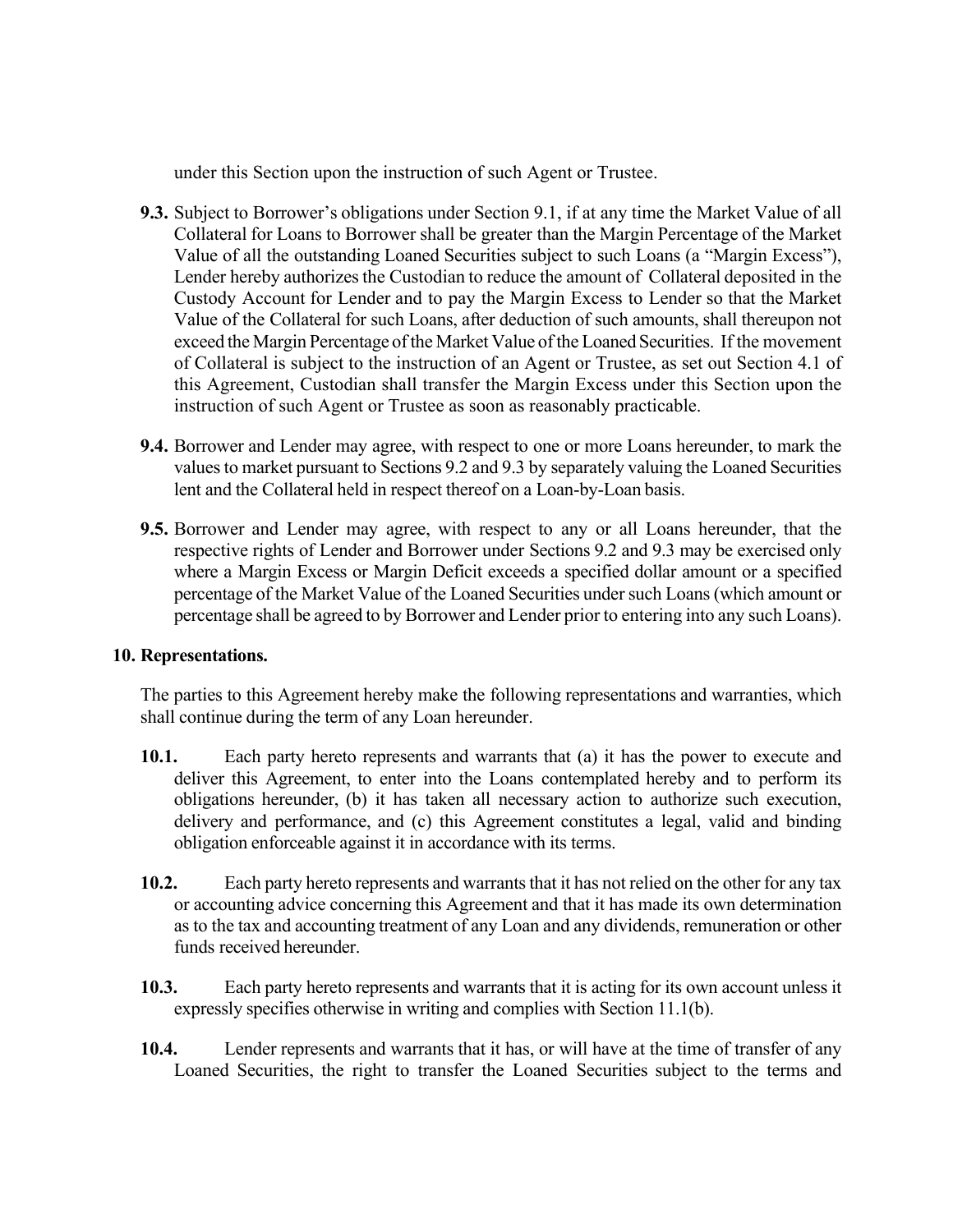under this Section upon the instruction of such Agent or Trustee.

- **9.3.** Subject to Borrower's obligations under Section 9.1, if at any time the Market Value of all Collateral for Loans to Borrower shall be greater than the Margin Percentage of the Market Value of all the outstanding Loaned Securities subject to such Loans (a "Margin Excess"), Lender hereby authorizes the Custodian to reduce the amount of Collateral deposited in the Custody Account for Lender and to pay the Margin Excess to Lender so that the Market Value of the Collateral for such Loans, after deduction of such amounts, shall thereupon not exceed the Margin Percentage of the Market Value of the Loaned Securities. If the movement of Collateral is subject to the instruction of an Agent or Trustee, as set out Section 4.1 of this Agreement, Custodian shall transfer the Margin Excess under this Section upon the instruction of such Agent or Trustee as soon as reasonably practicable.
- **9.4.** Borrower and Lender may agree, with respect to one or more Loans hereunder, to mark the values to market pursuant to Sections 9.2 and 9.3 by separately valuing the Loaned Securities lent and the Collateral held in respect thereof on a Loan-by-Loan basis.
- **9.5.** Borrower and Lender may agree, with respect to any or all Loans hereunder, that the respective rights of Lender and Borrower under Sections 9.2 and 9.3 may be exercised only where a Margin Excess or Margin Deficit exceeds a specified dollar amount or a specified percentage of the Market Value of the Loaned Securities undersuch Loans(which amount or percentage shall be agreed to by Borrower and Lender prior to entering into any such Loans).

### **10. Representations.**

The parties to this Agreement hereby make the following representations and warranties, which shall continue during the term of any Loan hereunder.

- **10.1.** Each party hereto represents and warrants that (a) it has the power to execute and deliver this Agreement, to enter into the Loans contemplated hereby and to perform its obligations hereunder, (b) it has taken all necessary action to authorize such execution, delivery and performance, and (c) this Agreement constitutes a legal, valid and binding obligation enforceable against it in accordance with its terms.
- **10.2.** Each party hereto represents and warrants that it has not relied on the other for any tax or accounting advice concerning this Agreement and that it has made its own determination as to the tax and accounting treatment of any Loan and any dividends, remuneration or other funds received hereunder.
- **10.3.** Each party hereto represents and warrants that it is acting for its own account unless it expressly specifies otherwise in writing and complies with Section 11.1(b).
- **10.4.** Lender represents and warrants that it has, or will have at the time of transfer of any Loaned Securities, the right to transfer the Loaned Securities subject to the terms and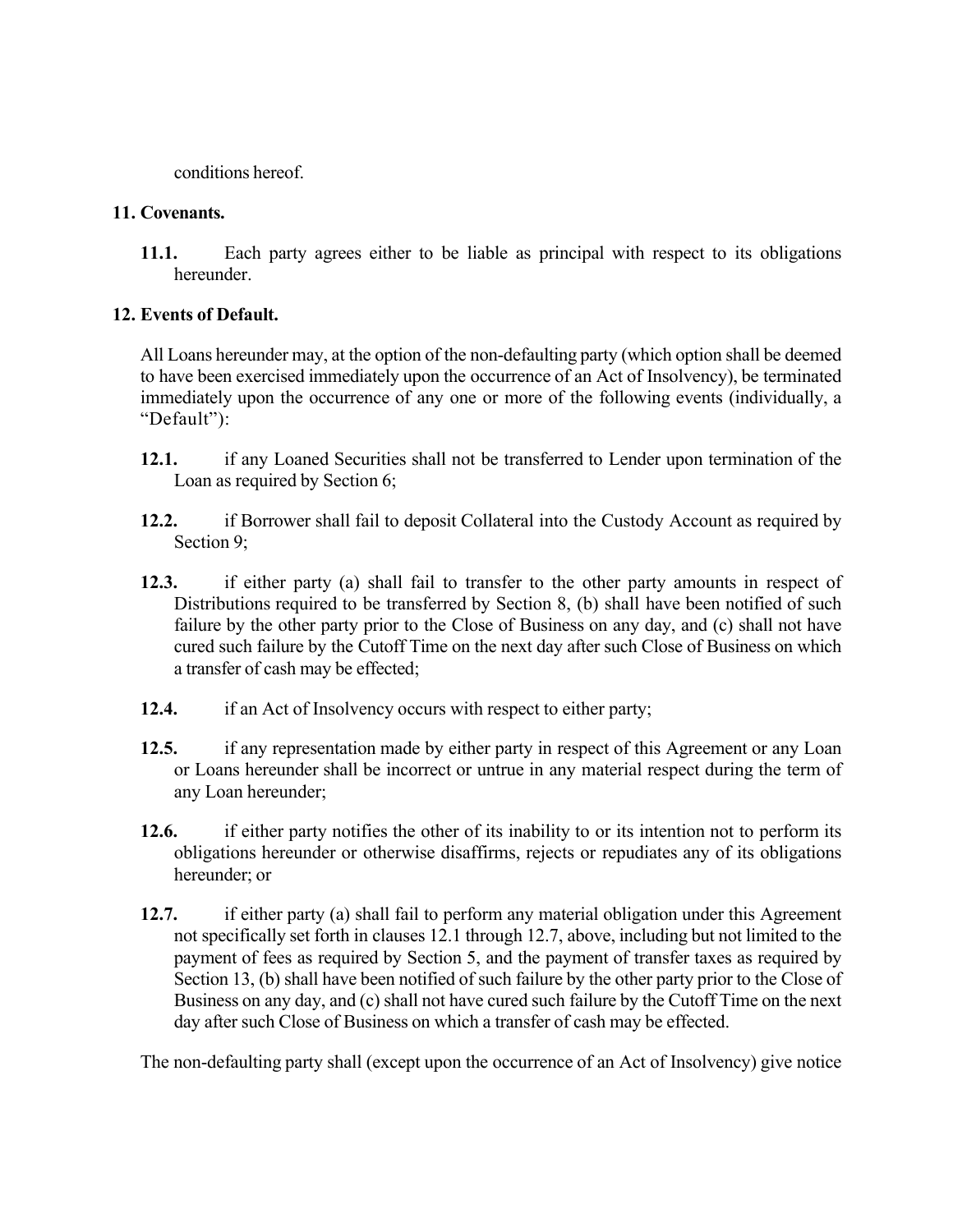conditions hereof.

## **11. Covenants.**

**11.1.** Each party agrees either to be liable as principal with respect to its obligations hereunder.

## **12. Events of Default.**

All Loans hereunder may, at the option of the non-defaulting party (which option shall be deemed to have been exercised immediately upon the occurrence of an Act of Insolvency), be terminated immediately upon the occurrence of any one or more of the following events (individually, a "Default"):

- **12.1.** if any Loaned Securities shall not be transferred to Lender upon termination of the Loan as required by Section 6;
- **12.2.** if Borrower shall fail to deposit Collateral into the Custody Account as required by Section 9;
- **12.3.** if either party (a) shall fail to transfer to the other party amounts in respect of Distributions required to be transferred by Section 8, (b) shall have been notified of such failure by the other party prior to the Close of Business on any day, and (c) shall not have cured such failure by the Cutoff Time on the next day after such Close of Business on which a transfer of cash may be effected;
- **12.4.** if an Act of Insolvency occurs with respect to either party;
- **12.5.** if any representation made by either party in respect of this Agreement or any Loan or Loans hereunder shall be incorrect or untrue in any material respect during the term of any Loan hereunder;
- **12.6.** if either party notifies the other of its inability to or its intention not to perform its obligations hereunder or otherwise disaffirms, rejects or repudiates any of its obligations hereunder; or
- **12.7.** if either party (a) shall fail to perform any material obligation under this Agreement not specifically set forth in clauses 12.1 through 12.7, above, including but not limited to the payment of fees as required by Section 5, and the payment of transfer taxes as required by Section 13, (b) shall have been notified of such failure by the other party prior to the Close of Business on any day, and (c) shall not have cured such failure by the Cutoff Time on the next day after such Close of Business on which a transfer of cash may be effected.

The non-defaulting party shall (except upon the occurrence of an Act of Insolvency) give notice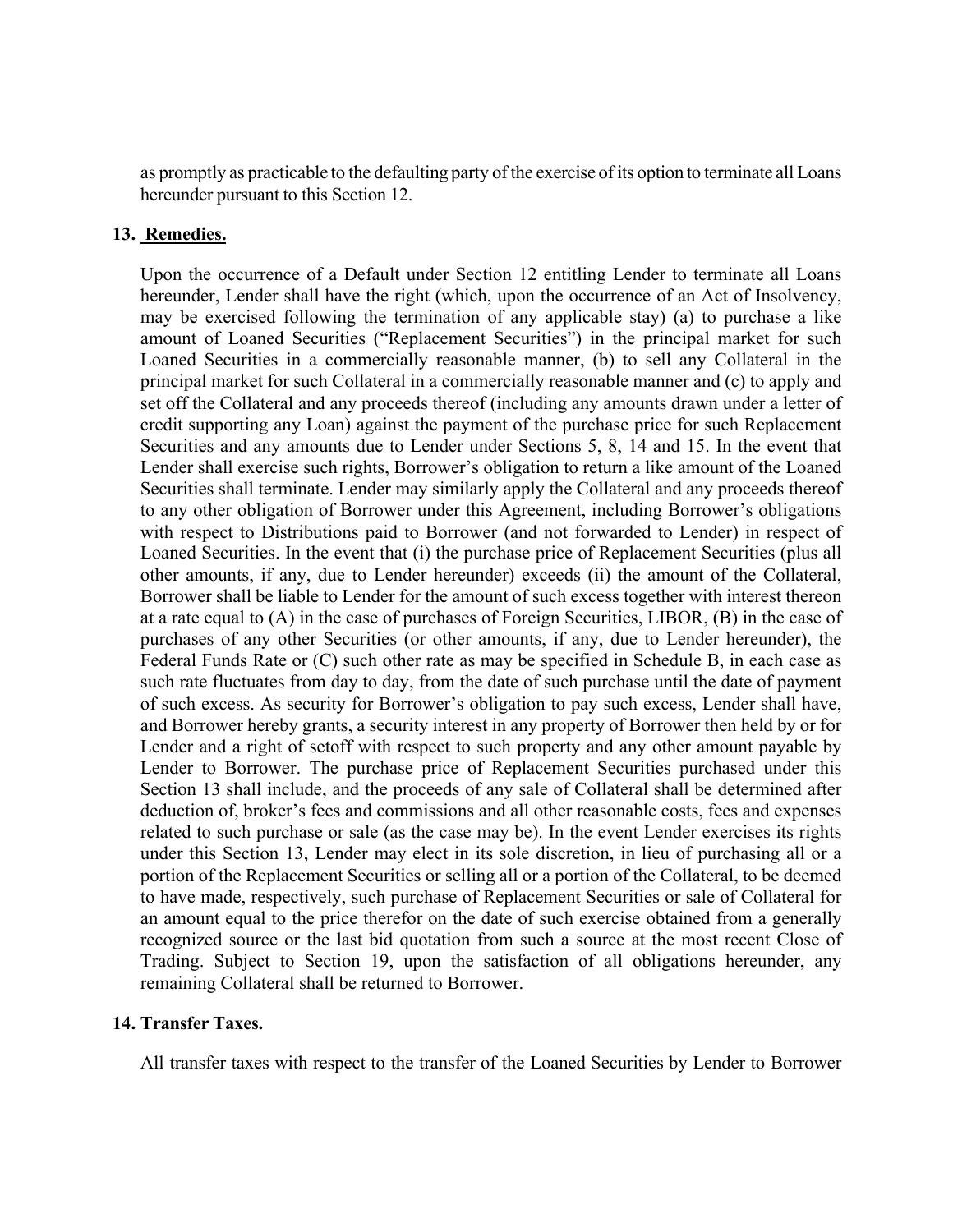as promptly as practicable to the defaulting party of the exercise of its option to terminate all Loans hereunder pursuant to this Section 12.

### **13. Remedies.**

Upon the occurrence of a Default under Section 12 entitling Lender to terminate all Loans hereunder, Lender shall have the right (which, upon the occurrence of an Act of Insolvency, may be exercised following the termination of any applicable stay) (a) to purchase a like amount of Loaned Securities ("Replacement Securities") in the principal market for such Loaned Securities in a commercially reasonable manner, (b) to sell any Collateral in the principal market for such Collateral in a commercially reasonable manner and (c) to apply and set off the Collateral and any proceeds thereof (including any amounts drawn under a letter of credit supporting any Loan) against the payment of the purchase price for such Replacement Securities and any amounts due to Lender under Sections 5, 8, 14 and 15. In the event that Lender shall exercise such rights, Borrower's obligation to return a like amount of the Loaned Securities shall terminate. Lender may similarly apply the Collateral and any proceeds thereof to any other obligation of Borrower under this Agreement, including Borrower's obligations with respect to Distributions paid to Borrower (and not forwarded to Lender) in respect of Loaned Securities. In the event that (i) the purchase price of Replacement Securities (plus all other amounts, if any, due to Lender hereunder) exceeds (ii) the amount of the Collateral, Borrower shall be liable to Lender for the amount of such excess together with interest thereon at a rate equal to (A) in the case of purchases of Foreign Securities, LIBOR, (B) in the case of purchases of any other Securities (or other amounts, if any, due to Lender hereunder), the Federal Funds Rate or (C) such other rate as may be specified in Schedule B, in each case as such rate fluctuates from day to day, from the date of such purchase until the date of payment of such excess. As security for Borrower's obligation to pay such excess, Lender shall have, and Borrower hereby grants, a security interest in any property of Borrower then held by or for Lender and a right of setoff with respect to such property and any other amount payable by Lender to Borrower. The purchase price of Replacement Securities purchased under this Section 13 shall include, and the proceeds of any sale of Collateral shall be determined after deduction of, broker's fees and commissions and all other reasonable costs, fees and expenses related to such purchase or sale (as the case may be). In the event Lender exercises its rights under this Section 13, Lender may elect in its sole discretion, in lieu of purchasing all or a portion of the Replacement Securities or selling all or a portion of the Collateral, to be deemed to have made, respectively, such purchase of Replacement Securities or sale of Collateral for an amount equal to the price therefor on the date of such exercise obtained from a generally recognized source or the last bid quotation from such a source at the most recent Close of Trading. Subject to Section 19, upon the satisfaction of all obligations hereunder, any remaining Collateral shall be returned to Borrower.

### **14. Transfer Taxes.**

All transfer taxes with respect to the transfer of the Loaned Securities by Lender to Borrower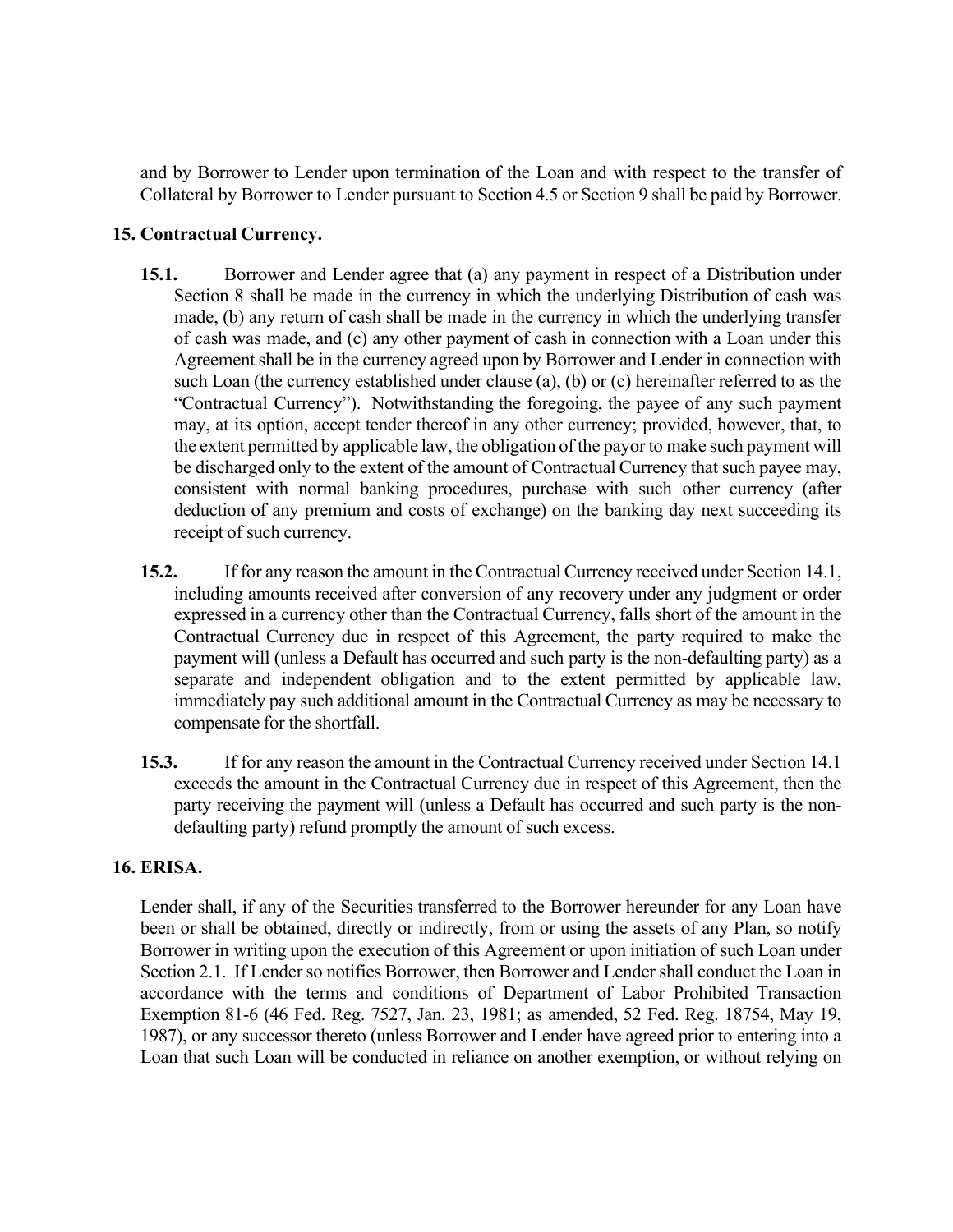and by Borrower to Lender upon termination of the Loan and with respect to the transfer of Collateral by Borrower to Lender pursuant to Section 4.5 or Section 9 shall be paid by Borrower.

## **15. Contractual Currency.**

- **15.1.** Borrower and Lender agree that (a) any payment in respect of a Distribution under Section 8 shall be made in the currency in which the underlying Distribution of cash was made, (b) any return of cash shall be made in the currency in which the underlying transfer of cash was made, and (c) any other payment of cash in connection with a Loan under this Agreement shall be in the currency agreed upon by Borrower and Lender in connection with such Loan (the currency established under clause (a), (b) or (c) hereinafter referred to as the "Contractual Currency"). Notwithstanding the foregoing, the payee of any such payment may, at its option, accept tender thereof in any other currency; provided, however, that, to the extent permitted by applicable law, the obligation of the payor to make such payment will be discharged only to the extent of the amount of Contractual Currency that such payee may, consistent with normal banking procedures, purchase with such other currency (after deduction of any premium and costs of exchange) on the banking day next succeeding its receipt of such currency.
- **15.2.** If for any reason the amount in the Contractual Currency received under Section 14.1, including amounts received after conversion of any recovery under any judgment or order expressed in a currency other than the Contractual Currency, falls short of the amount in the Contractual Currency due in respect of this Agreement, the party required to make the payment will (unless a Default has occurred and such party is the non-defaulting party) as a separate and independent obligation and to the extent permitted by applicable law, immediately pay such additional amount in the Contractual Currency as may be necessary to compensate for the shortfall.
- **15.3.** If for any reason the amount in the Contractual Currency received under Section 14.1 exceeds the amount in the Contractual Currency due in respect of this Agreement, then the party receiving the payment will (unless a Default has occurred and such party is the nondefaulting party) refund promptly the amount of such excess.

### **16. ERISA.**

Lender shall, if any of the Securities transferred to the Borrower hereunder for any Loan have been or shall be obtained, directly or indirectly, from or using the assets of any Plan, so notify Borrower in writing upon the execution of this Agreement or upon initiation of such Loan under Section 2.1. If Lender so notifies Borrower, then Borrower and Lender shall conduct the Loan in accordance with the terms and conditions of Department of Labor Prohibited Transaction Exemption 81-6 (46 Fed. Reg. 7527, Jan. 23, 1981; as amended, 52 Fed. Reg. 18754, May 19, 1987), or any successor thereto (unless Borrower and Lender have agreed prior to entering into a Loan that such Loan will be conducted in reliance on another exemption, or without relying on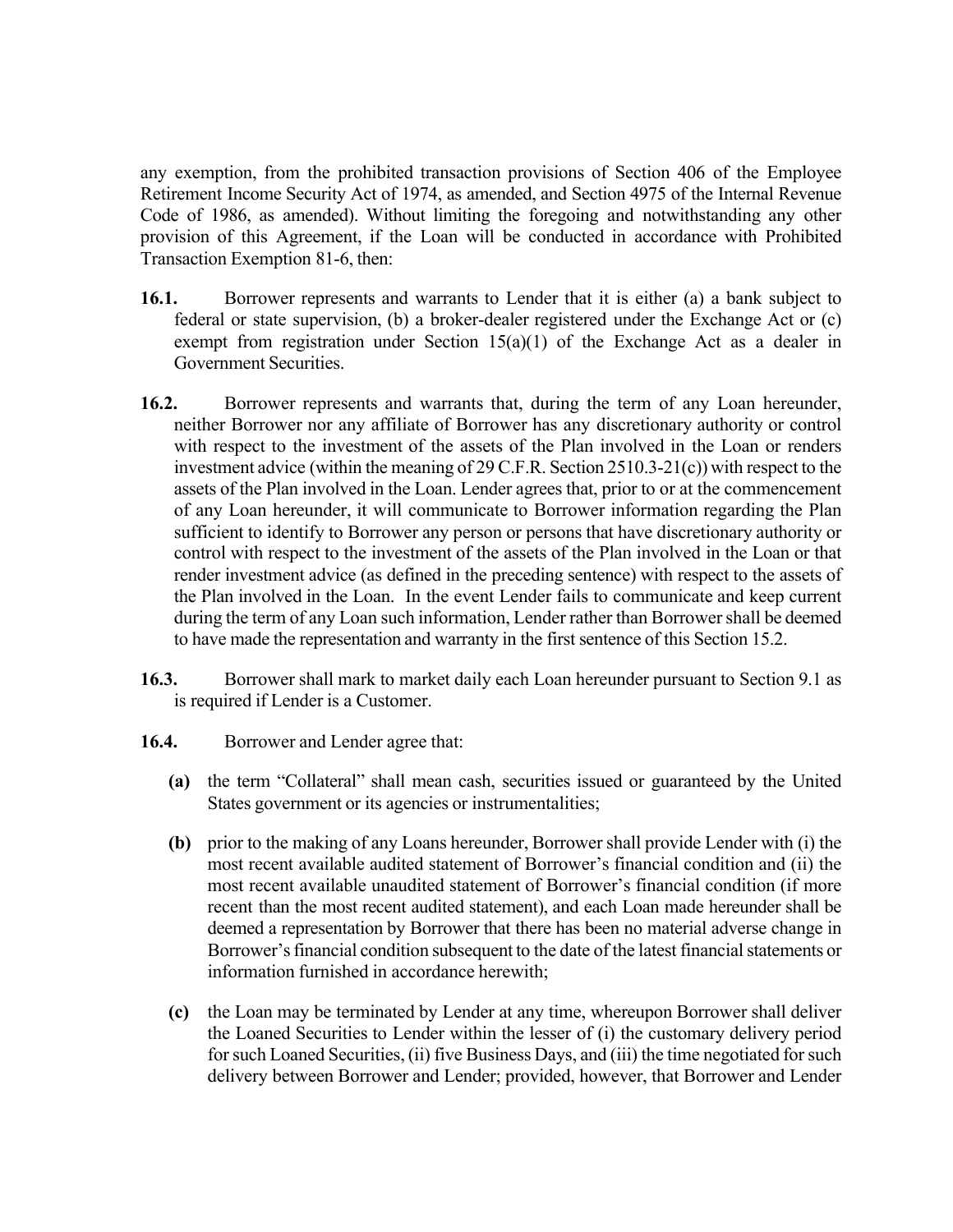any exemption, from the prohibited transaction provisions of Section 406 of the Employee Retirement Income Security Act of 1974, as amended, and Section 4975 of the Internal Revenue Code of 1986, as amended). Without limiting the foregoing and notwithstanding any other provision of this Agreement, if the Loan will be conducted in accordance with Prohibited Transaction Exemption 81-6, then:

- **16.1.** Borrower represents and warrants to Lender that it is either (a) a bank subject to federal or state supervision, (b) a broker-dealer registered under the Exchange Act or (c) exempt from registration under Section  $15(a)(1)$  of the Exchange Act as a dealer in Government Securities.
- **16.2.** Borrower represents and warrants that, during the term of any Loan hereunder, neither Borrower nor any affiliate of Borrower has any discretionary authority or control with respect to the investment of the assets of the Plan involved in the Loan or renders investment advice (within the meaning of 29 C.F.R. Section 2510.3-21(c)) with respect to the assets of the Plan involved in the Loan. Lender agrees that, prior to or at the commencement of any Loan hereunder, it will communicate to Borrower information regarding the Plan sufficient to identify to Borrower any person or persons that have discretionary authority or control with respect to the investment of the assets of the Plan involved in the Loan or that render investment advice (as defined in the preceding sentence) with respect to the assets of the Plan involved in the Loan. In the event Lender fails to communicate and keep current during the term of any Loan such information, Lender rather than Borrower shall be deemed to have made the representation and warranty in the first sentence of this Section 15.2.
- **16.3.** Borrower shall mark to market daily each Loan hereunder pursuant to Section 9.1 as is required if Lender is a Customer.
- 16.4. Borrower and Lender agree that:
	- **(a)** the term "Collateral" shall mean cash, securities issued or guaranteed by the United States government or its agencies or instrumentalities;
	- **(b)** prior to the making of any Loans hereunder, Borrower shall provide Lender with (i) the most recent available audited statement of Borrower's financial condition and (ii) the most recent available unaudited statement of Borrower's financial condition (if more recent than the most recent audited statement), and each Loan made hereunder shall be deemed a representation by Borrower that there has been no material adverse change in Borrower's financial condition subsequent to the date of the latest financial statements or information furnished in accordance herewith;
	- **(c)** the Loan may be terminated by Lender at any time, whereupon Borrower shall deliver the Loaned Securities to Lender within the lesser of (i) the customary delivery period for such Loaned Securities, (ii) five Business Days, and (iii) the time negotiated for such delivery between Borrower and Lender; provided, however, that Borrower and Lender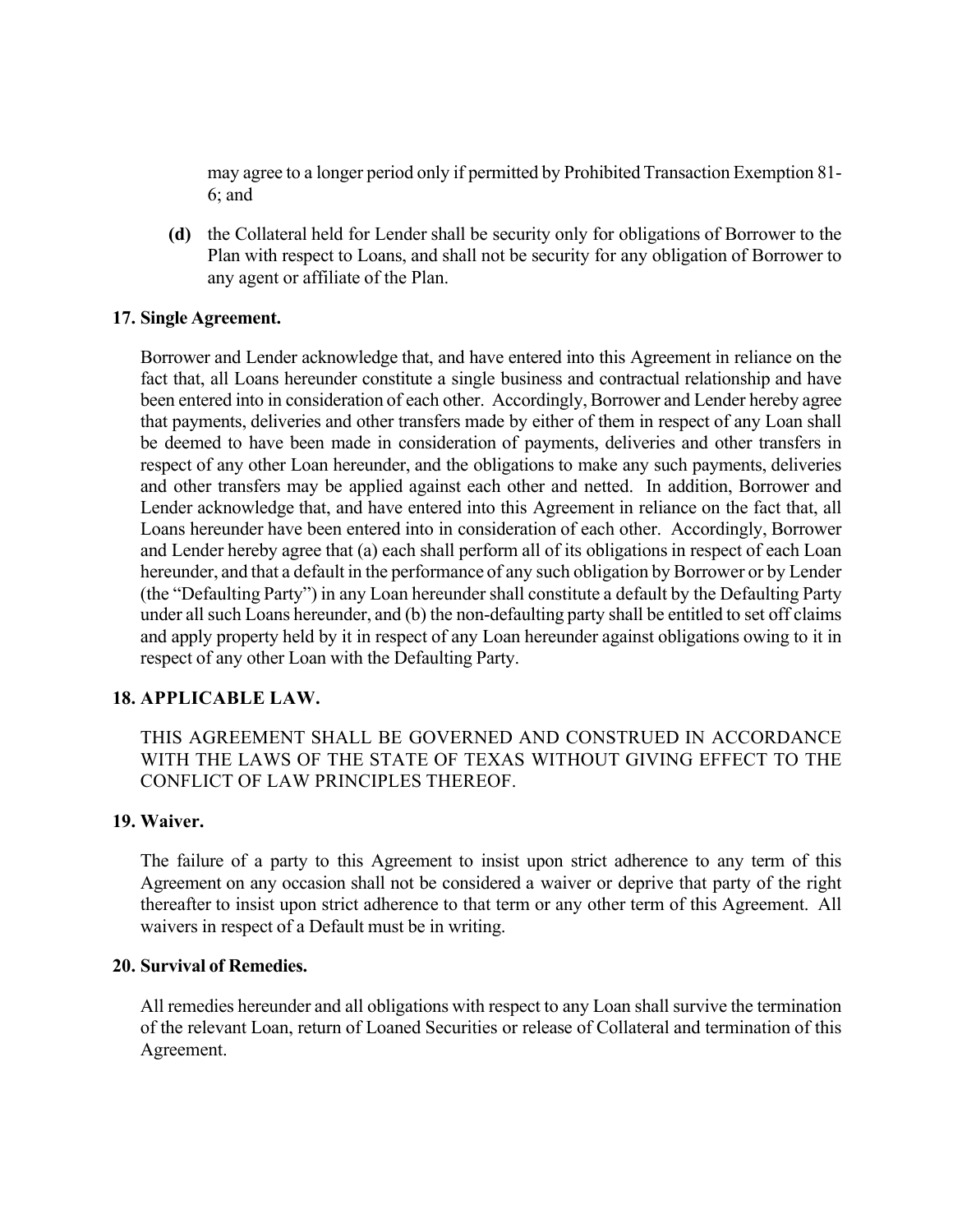may agree to a longer period only if permitted by Prohibited Transaction Exemption 81- 6; and

**(d)** the Collateral held for Lender shall be security only for obligations of Borrower to the Plan with respect to Loans, and shall not be security for any obligation of Borrower to any agent or affiliate of the Plan.

## **17. Single Agreement.**

Borrower and Lender acknowledge that, and have entered into this Agreement in reliance on the fact that, all Loans hereunder constitute a single business and contractual relationship and have been entered into in consideration of each other. Accordingly, Borrower and Lender hereby agree that payments, deliveries and other transfers made by either of them in respect of any Loan shall be deemed to have been made in consideration of payments, deliveries and other transfers in respect of any other Loan hereunder, and the obligations to make any such payments, deliveries and other transfers may be applied against each other and netted. In addition, Borrower and Lender acknowledge that, and have entered into this Agreement in reliance on the fact that, all Loans hereunder have been entered into in consideration of each other. Accordingly, Borrower and Lender hereby agree that (a) each shall perform all of its obligations in respect of each Loan hereunder, and that a default in the performance of any such obligation by Borrower or by Lender (the "Defaulting Party") in any Loan hereundershall constitute a default by the Defaulting Party under all such Loans hereunder, and (b) the non-defaulting party shall be entitled to set off claims and apply property held by it in respect of any Loan hereunder against obligations owing to it in respect of any other Loan with the Defaulting Party.

## **18. APPLICABLE LAW.**

THIS AGREEMENT SHALL BE GOVERNED AND CONSTRUED IN ACCORDANCE WITH THE LAWS OF THE STATE OF TEXAS WITHOUT GIVING EFFECT TO THE CONFLICT OF LAW PRINCIPLES THEREOF.

## **19. Waiver.**

The failure of a party to this Agreement to insist upon strict adherence to any term of this Agreement on any occasion shall not be considered a waiver or deprive that party of the right thereafter to insist upon strict adherence to that term or any other term of this Agreement. All waivers in respect of a Default must be in writing.

### **20. Survival of Remedies.**

All remedies hereunder and all obligations with respect to any Loan shall survive the termination of the relevant Loan, return of Loaned Securities or release of Collateral and termination of this Agreement.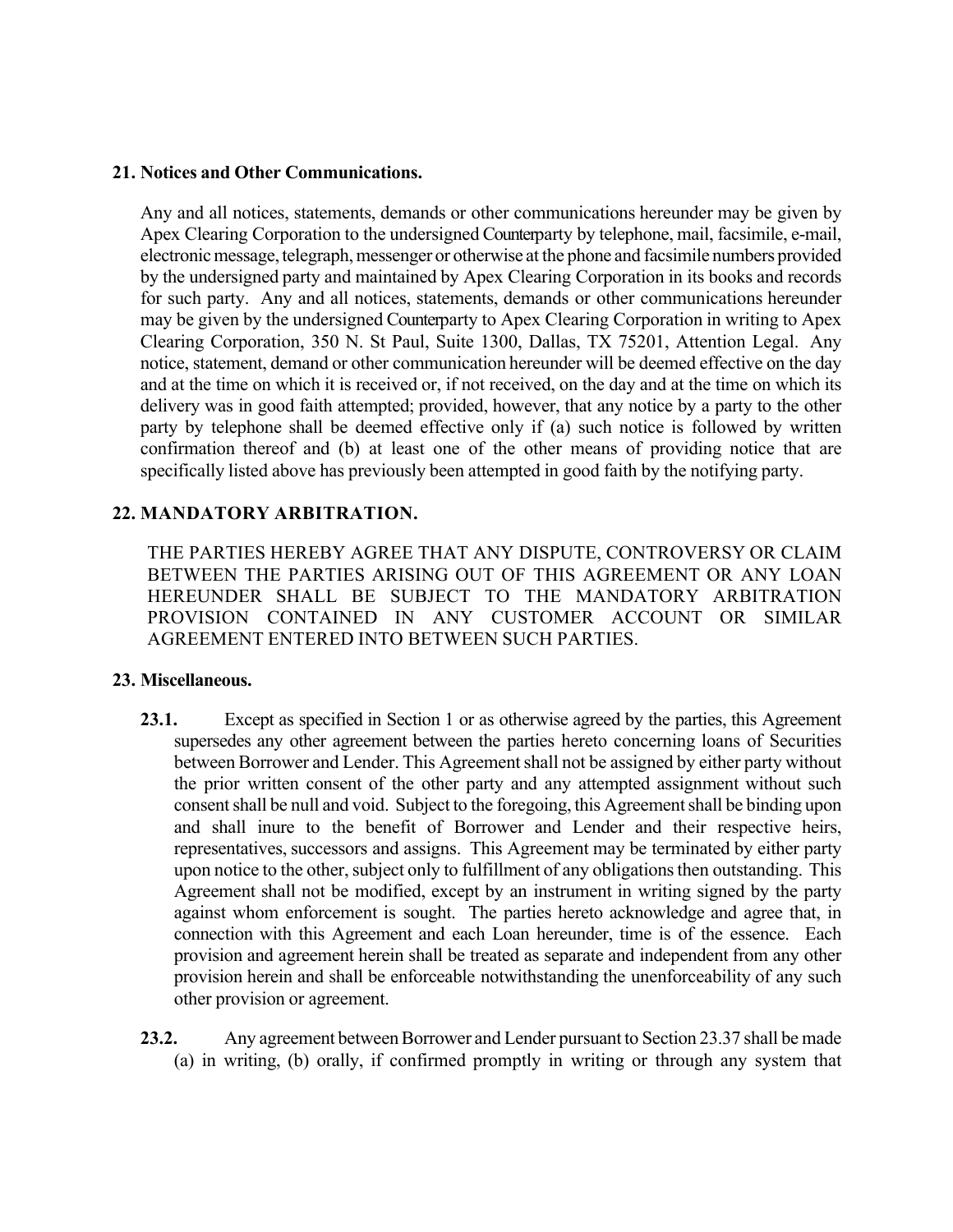### **21. Notices and Other Communications.**

Any and all notices, statements, demands or other communications hereunder may be given by Apex Clearing Corporation to the undersigned Counterparty by telephone, mail, facsimile, e-mail, electronic message, telegraph, messenger or otherwise at the phone and facsimile numbers provided by the undersigned party and maintained by Apex Clearing Corporation in its books and records for such party. Any and all notices, statements, demands or other communications hereunder may be given by the undersigned Counterparty to Apex Clearing Corporation in writing to Apex Clearing Corporation, 350 N. St Paul, Suite 1300, Dallas, TX 75201, Attention Legal. Any notice, statement, demand or other communication hereunder will be deemed effective on the day and at the time on which it is received or, if not received, on the day and at the time on which its delivery was in good faith attempted; provided, however, that any notice by a party to the other party by telephone shall be deemed effective only if (a) such notice is followed by written confirmation thereof and (b) at least one of the other means of providing notice that are specifically listed above has previously been attempted in good faith by the notifying party.

## **22. MANDATORY ARBITRATION.**

THE PARTIES HEREBY AGREE THAT ANY DISPUTE, CONTROVERSY OR CLAIM BETWEEN THE PARTIES ARISING OUT OF THIS AGREEMENT OR ANY LOAN HEREUNDER SHALL BE SUBJECT TO THE MANDATORY ARBITRATION PROVISION CONTAINED IN ANY CUSTOMER ACCOUNT OR SIMILAR AGREEMENT ENTERED INTO BETWEEN SUCH PARTIES.

### **23. Miscellaneous.**

- 23.1. Except as specified in Section 1 or as otherwise agreed by the parties, this Agreement supersedes any other agreement between the parties hereto concerning loans of Securities between Borrower and Lender. This Agreement shall not be assigned by either party without the prior written consent of the other party and any attempted assignment without such consent shall be null and void. Subject to the foregoing, this Agreement shall be binding upon and shall inure to the benefit of Borrower and Lender and their respective heirs, representatives, successors and assigns. This Agreement may be terminated by either party upon notice to the other, subject only to fulfillment of any obligations then outstanding. This Agreement shall not be modified, except by an instrument in writing signed by the party against whom enforcement is sought. The parties hereto acknowledge and agree that, in connection with this Agreement and each Loan hereunder, time is of the essence. Each provision and agreement herein shall be treated as separate and independent from any other provision herein and shall be enforceable notwithstanding the unenforceability of any such other provision or agreement.
- **23.2.** Any agreement between Borrower and Lender pursuant to Section 23.37 shall be made (a) in writing, (b) orally, if confirmed promptly in writing or through any system that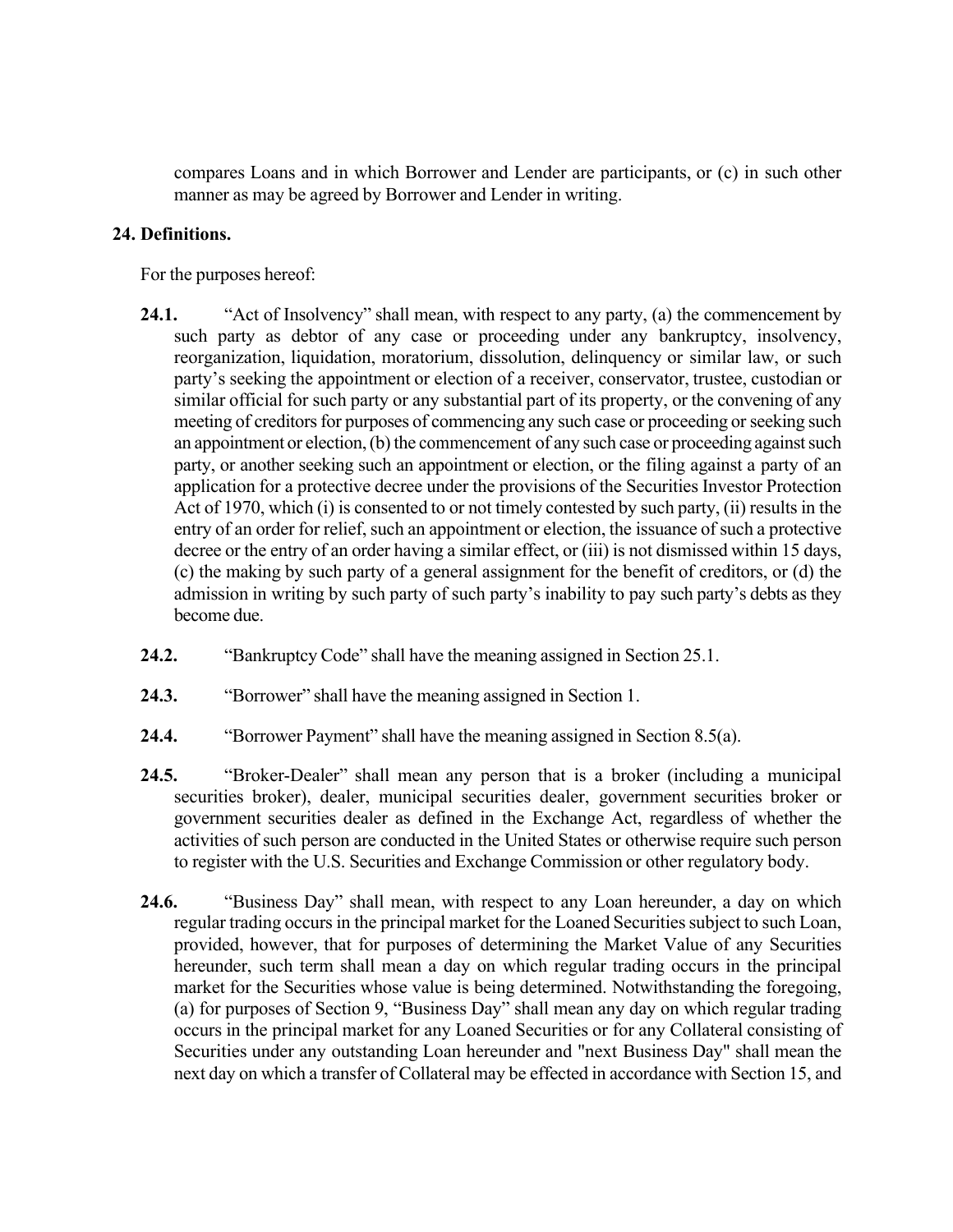compares Loans and in which Borrower and Lender are participants, or (c) in such other manner as may be agreed by Borrower and Lender in writing.

## **24. Definitions.**

For the purposes hereof:

- **24.1.** "Act of Insolvency" shall mean, with respect to any party, (a) the commencement by such party as debtor of any case or proceeding under any bankruptcy, insolvency, reorganization, liquidation, moratorium, dissolution, delinquency or similar law, or such party's seeking the appointment or election of a receiver, conservator, trustee, custodian or similar official for such party or any substantial part of its property, or the convening of any meeting of creditors for purposes of commencing any such case or proceeding or seeking such an appointment or election, (b) the commencement of any such case or proceeding against such party, or another seeking such an appointment or election, or the filing against a party of an application for a protective decree under the provisions of the Securities Investor Protection Act of 1970, which (i) is consented to or not timely contested by such party, (ii) results in the entry of an order for relief, such an appointment or election, the issuance of such a protective decree or the entry of an order having a similar effect, or (iii) is not dismissed within 15 days, (c) the making by such party of a general assignment for the benefit of creditors, or (d) the admission in writing by such party of such party's inability to pay such party's debts as they become due.
- **24.2.** "Bankruptcy Code" shall have the meaning assigned in Section 25.1.
- **24.3.** "Borrower" shall have the meaning assigned in Section 1.
- **24.4.** "Borrower Payment" shall have the meaning assigned in Section 8.5(a).
- **24.5.** "Broker-Dealer" shall mean any person that is a broker (including a municipal securities broker), dealer, municipal securities dealer, government securities broker or government securities dealer as defined in the Exchange Act, regardless of whether the activities of such person are conducted in the United States or otherwise require such person to register with the U.S. Securities and Exchange Commission or other regulatory body.
- **24.6.** "Business Day" shall mean, with respect to any Loan hereunder, a day on which regular trading occurs in the principal market for the Loaned Securities subject to such Loan, provided, however, that for purposes of determining the Market Value of any Securities hereunder, such term shall mean a day on which regular trading occurs in the principal market for the Securities whose value is being determined. Notwithstanding the foregoing, (a) for purposes of Section 9, "Business Day" shall mean any day on which regular trading occurs in the principal market for any Loaned Securities or for any Collateral consisting of Securities under any outstanding Loan hereunder and "next Business Day" shall mean the next day on which a transfer of Collateral may be effected in accordance with Section 15, and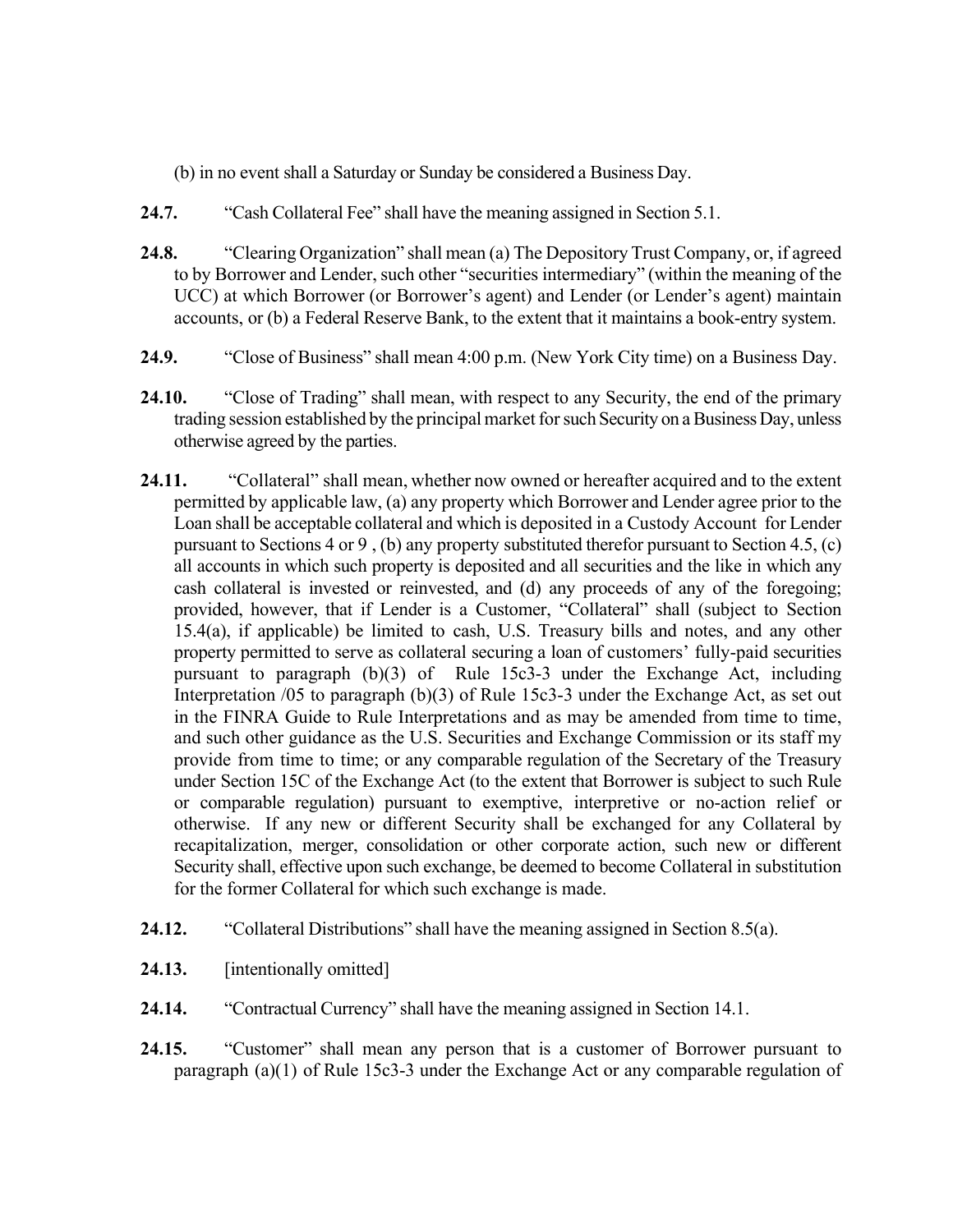- (b) in no event shall a Saturday or Sunday be considered a Business Day.
- **24.7.** "Cash Collateral Fee" shall have the meaning assigned in Section 5.1.
- **24.8.** "Clearing Organization" shall mean (a) The Depository Trust Company, or, if agreed to by Borrower and Lender, such other "securities intermediary" (within the meaning of the UCC) at which Borrower (or Borrower's agent) and Lender (or Lender's agent) maintain accounts, or (b) a Federal Reserve Bank, to the extent that it maintains a book-entry system.
- **24.9.** "Close of Business" shall mean 4:00 p.m. (New York City time) on a Business Day.
- **24.10.** "Close of Trading" shall mean, with respect to any Security, the end of the primary trading session established by the principal market for such Security on a Business Day, unless otherwise agreed by the parties.
- **24.11.** "Collateral" shall mean, whether now owned or hereafter acquired and to the extent permitted by applicable law, (a) any property which Borrower and Lender agree prior to the Loan shall be acceptable collateral and which is deposited in a Custody Account for Lender pursuant to Sections 4 or 9 , (b) any property substituted therefor pursuant to Section 4.5, (c) all accounts in which such property is deposited and all securities and the like in which any cash collateral is invested or reinvested, and (d) any proceeds of any of the foregoing; provided, however, that if Lender is a Customer, "Collateral" shall (subject to Section 15.4(a), if applicable) be limited to cash, U.S. Treasury bills and notes, and any other property permitted to serve as collateral securing a loan of customers' fully-paid securities pursuant to paragraph (b)(3) of Rule 15c3-3 under the Exchange Act, including Interpretation /05 to paragraph (b)(3) of Rule 15c3-3 under the Exchange Act, as set out in the FINRA Guide to Rule Interpretations and as may be amended from time to time, and such other guidance as the U.S. Securities and Exchange Commission or its staff my provide from time to time; or any comparable regulation of the Secretary of the Treasury under Section 15C of the Exchange Act (to the extent that Borrower is subject to such Rule or comparable regulation) pursuant to exemptive, interpretive or no-action relief or otherwise. If any new or different Security shall be exchanged for any Collateral by recapitalization, merger, consolidation or other corporate action, such new or different Security shall, effective upon such exchange, be deemed to become Collateral in substitution for the former Collateral for which such exchange is made.
- **24.12.** "Collateral Distributions" shall have the meaning assigned in Section 8.5(a).
- **24.13.** [intentionally omitted]
- **24.14.** "Contractual Currency" shall have the meaning assigned in Section 14.1.
- **24.15.** "Customer" shall mean any person that is a customer of Borrower pursuant to paragraph (a)(1) of Rule 15c3-3 under the Exchange Act or any comparable regulation of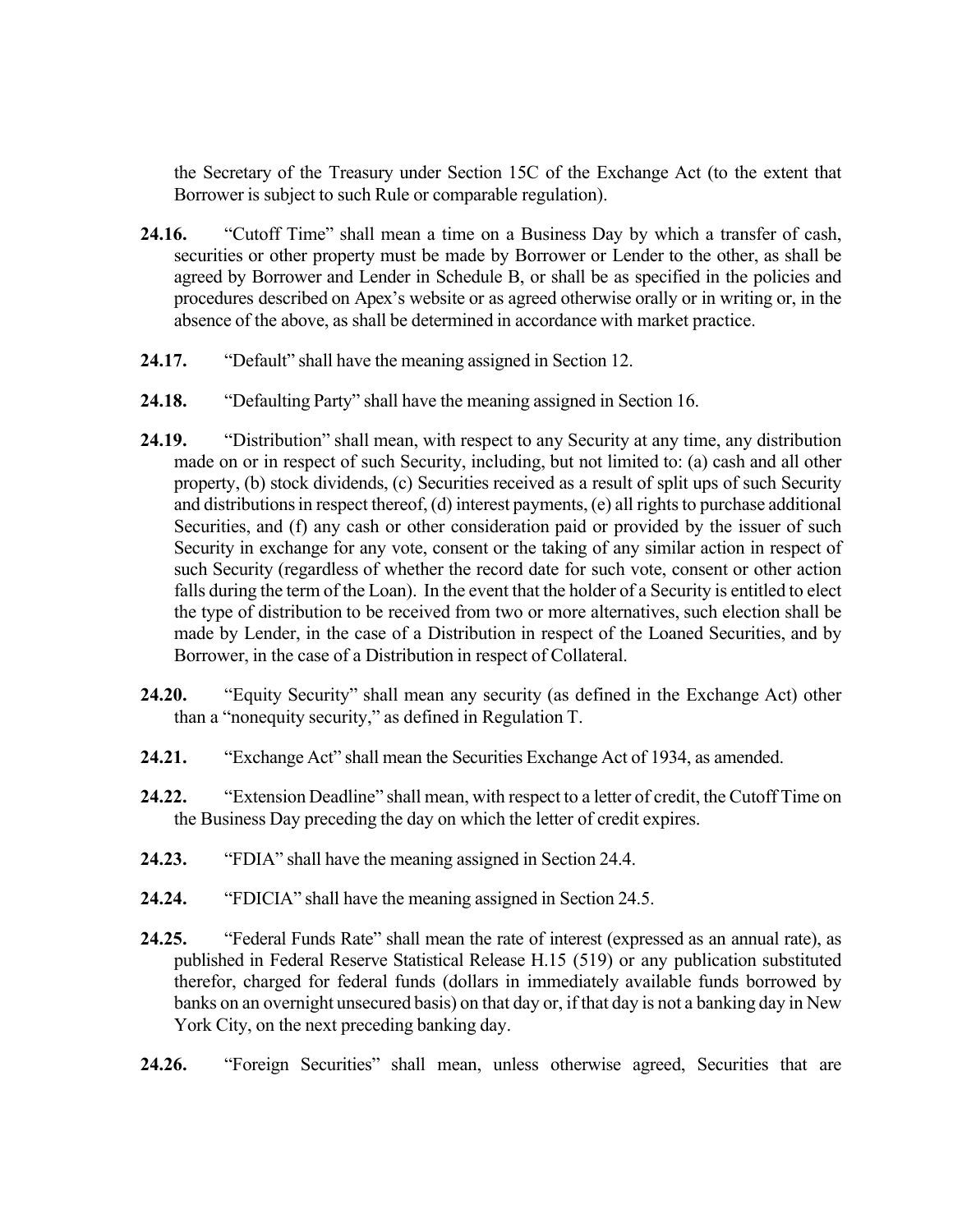the Secretary of the Treasury under Section 15C of the Exchange Act (to the extent that Borrower is subject to such Rule or comparable regulation).

- **24.16.** "Cutoff Time" shall mean a time on a Business Day by which a transfer of cash, securities or other property must be made by Borrower or Lender to the other, as shall be agreed by Borrower and Lender in Schedule B, or shall be as specified in the policies and procedures described on Apex's website or as agreed otherwise orally or in writing or, in the absence of the above, as shall be determined in accordance with market practice.
- **24.17.** "Default" shall have the meaning assigned in Section 12.
- **24.18.** "Defaulting Party" shall have the meaning assigned in Section 16.
- **24.19.** "Distribution" shall mean, with respect to any Security at any time, any distribution made on or in respect of such Security, including, but not limited to: (a) cash and all other property, (b) stock dividends, (c) Securities received as a result of split ups of such Security and distributions in respect thereof,  $(d)$  interest payments,  $(e)$  all rights to purchase additional Securities, and (f) any cash or other consideration paid or provided by the issuer of such Security in exchange for any vote, consent or the taking of any similar action in respect of such Security (regardless of whether the record date for such vote, consent or other action falls during the term of the Loan). In the event that the holder of a Security is entitled to elect the type of distribution to be received from two or more alternatives, such election shall be made by Lender, in the case of a Distribution in respect of the Loaned Securities, and by Borrower, in the case of a Distribution in respect of Collateral.
- **24.20.** "Equity Security" shall mean any security (as defined in the Exchange Act) other than a "nonequity security," as defined in Regulation T.
- **24.21.** "Exchange Act" shall mean the Securities Exchange Act of 1934, as amended.
- **24.22.** "Extension Deadline" shall mean, with respect to a letter of credit, the Cutoff Time on the Business Day preceding the day on which the letter of credit expires.
- **24.23.** "FDIA" shall have the meaning assigned in Section 24.4.
- **24.24.** "FDICIA" shall have the meaning assigned in Section 24.5.
- **24.25.** "Federal Funds Rate" shall mean the rate of interest (expressed as an annual rate), as published in Federal Reserve Statistical Release H.15 (519) or any publication substituted therefor, charged for federal funds (dollars in immediately available funds borrowed by banks on an overnight unsecured basis) on that day or, if that day is not a banking day in New York City, on the next preceding banking day.
- **24.26.** "Foreign Securities" shall mean, unless otherwise agreed, Securities that are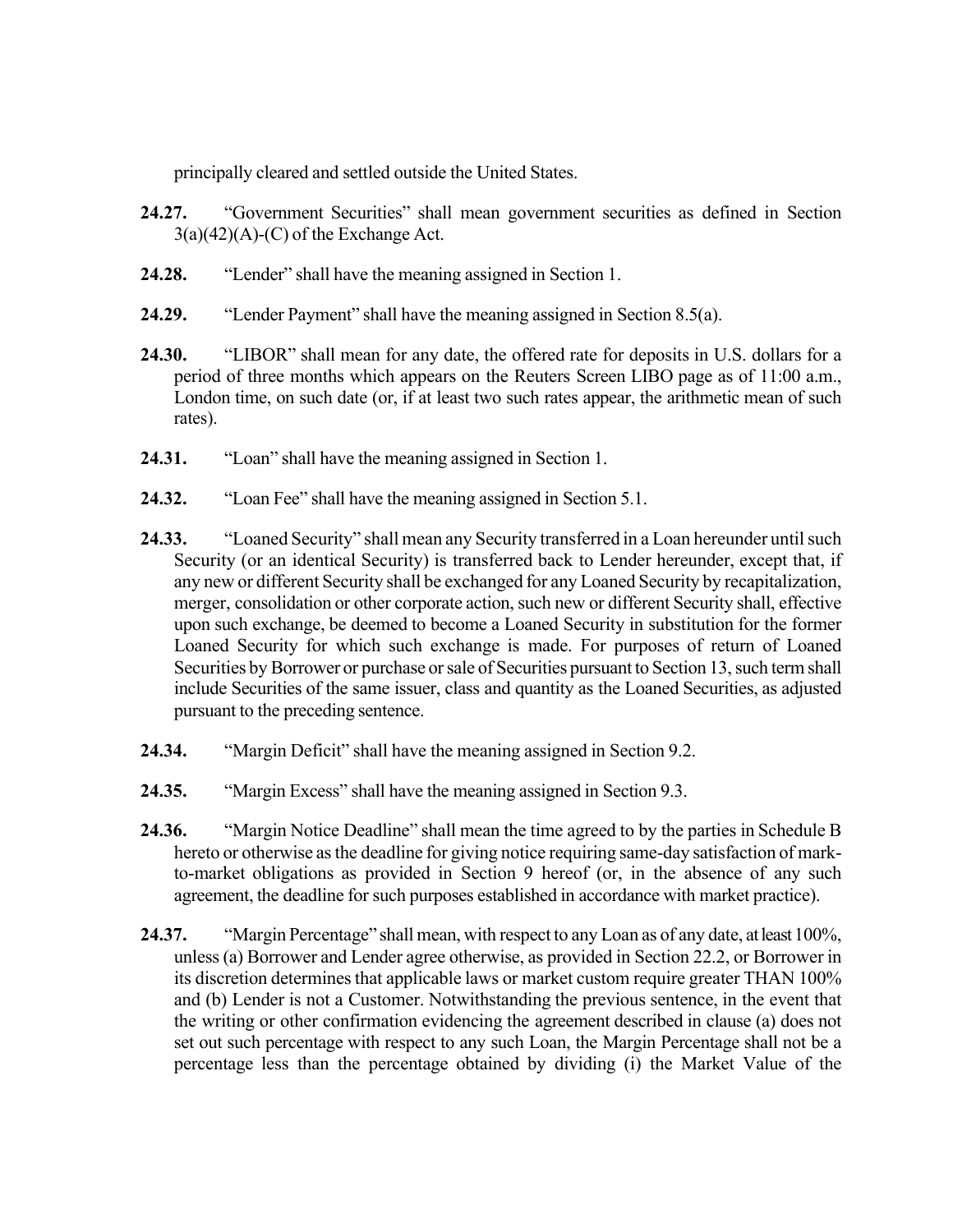principally cleared and settled outside the United States.

- **24.27.** "Government Securities" shall mean government securities as defined in Section  $3(a)(42)(A)-(C)$  of the Exchange Act.
- **24.28.** "Lender" shall have the meaning assigned in Section 1.
- **24.29.** "Lender Payment" shall have the meaning assigned in Section 8.5(a).
- **24.30.** "LIBOR" shall mean for any date, the offered rate for deposits in U.S. dollars for a period of three months which appears on the Reuters Screen LIBO page as of 11:00 a.m., London time, on such date (or, if at least two such rates appear, the arithmetic mean of such rates).
- **24.31.** "Loan" shall have the meaning assigned in Section 1.
- **24.32.** "Loan Fee" shall have the meaning assigned in Section 5.1.
- 24.33. "Loaned Security" shall mean any Security transferred in a Loan hereunder until such Security (or an identical Security) is transferred back to Lender hereunder, except that, if any new or different Security shall be exchanged for any Loaned Security by recapitalization, merger, consolidation or other corporate action, such new or different Security shall, effective upon such exchange, be deemed to become a Loaned Security in substitution for the former Loaned Security for which such exchange is made. For purposes of return of Loaned Securities by Borrower or purchase or sale of Securities pursuant to Section 13, such term shall include Securities of the same issuer, class and quantity as the Loaned Securities, as adjusted pursuant to the preceding sentence.
- **24.34.** "Margin Deficit" shall have the meaning assigned in Section 9.2.
- **24.35.** "Margin Excess" shall have the meaning assigned in Section 9.3.
- **24.36.** "Margin Notice Deadline" shall mean the time agreed to by the parties in Schedule B hereto or otherwise as the deadline for giving notice requiring same-day satisfaction of markto-market obligations as provided in Section 9 hereof (or, in the absence of any such agreement, the deadline for such purposes established in accordance with market practice).
- **24.37.** "Margin Percentage" shall mean, with respect to any Loan as of any date, at least 100%, unless(a) Borrower and Lender agree otherwise, as provided in Section 22.2, or Borrower in its discretion determines that applicable laws or market custom require greater THAN 100% and (b) Lender is not a Customer. Notwithstanding the previous sentence, in the event that the writing or other confirmation evidencing the agreement described in clause (a) does not set out such percentage with respect to any such Loan, the Margin Percentage shall not be a percentage less than the percentage obtained by dividing (i) the Market Value of the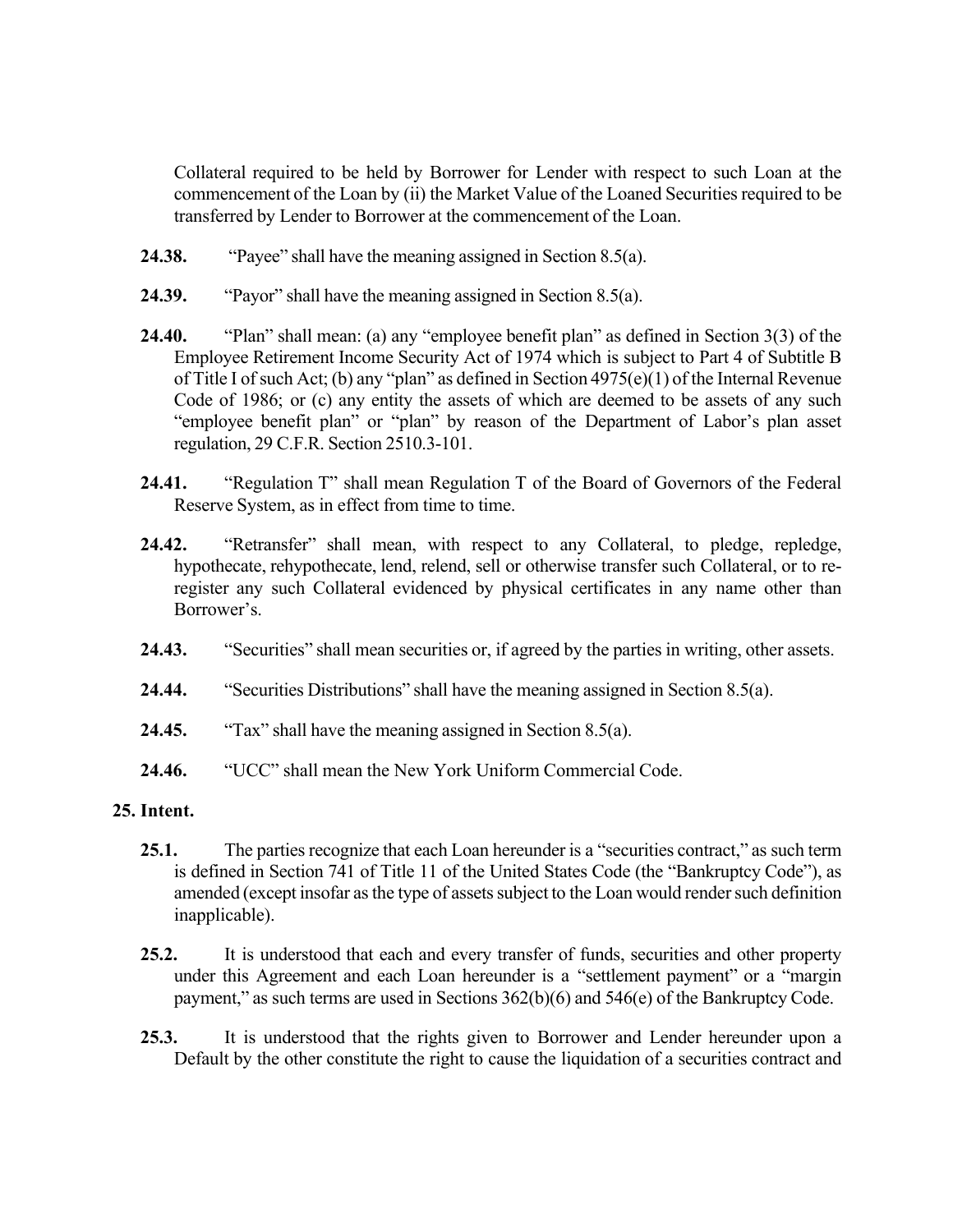Collateral required to be held by Borrower for Lender with respect to such Loan at the commencement of the Loan by (ii) the Market Value of the Loaned Securitiesrequired to be transferred by Lender to Borrower at the commencement of the Loan.

- **24.38.** "Payee" shall have the meaning assigned in Section 8.5(a).
- **24.39.** "Payor" shall have the meaning assigned in Section 8.5(a).
- **24.40.** "Plan" shall mean: (a) any "employee benefit plan" as defined in Section 3(3) of the Employee Retirement Income Security Act of 1974 which is subject to Part 4 of Subtitle B of Title I of such Act; (b) any "plan" as defined in Section  $4975(e)(1)$  of the Internal Revenue Code of 1986; or (c) any entity the assets of which are deemed to be assets of any such "employee benefit plan" or "plan" by reason of the Department of Labor's plan asset regulation, 29 C.F.R. Section 2510.3-101.
- **24.41.** "Regulation T" shall mean Regulation T of the Board of Governors of the Federal Reserve System, as in effect from time to time.
- **24.42.** "Retransfer" shall mean, with respect to any Collateral, to pledge, repledge, hypothecate, rehypothecate, lend, relend, sell or otherwise transfer such Collateral, or to reregister any such Collateral evidenced by physical certificates in any name other than Borrower's.
- **24.43.** "Securities" shall mean securities or, if agreed by the parties in writing, other assets.
- **24.44.** "Securities Distributions" shall have the meaning assigned in Section 8.5(a).
- **24.45.** "Tax" shall have the meaning assigned in Section 8.5(a).
- **24.46.** "UCC" shall mean the New York Uniform Commercial Code.

### **25. Intent.**

- **25.1.** The parties recognize that each Loan hereunder is a "securities contract," as such term is defined in Section 741 of Title 11 of the United States Code (the "Bankruptcy Code"), as amended (except insofar as the type of assets subject to the Loan would render such definition inapplicable).
- **25.2.** It is understood that each and every transfer of funds, securities and other property under this Agreement and each Loan hereunder is a "settlement payment" or a "margin payment," as such terms are used in Sections 362(b)(6) and 546(e) of the Bankruptcy Code.
- **25.3.** It is understood that the rights given to Borrower and Lender hereunder upon a Default by the other constitute the right to cause the liquidation of a securities contract and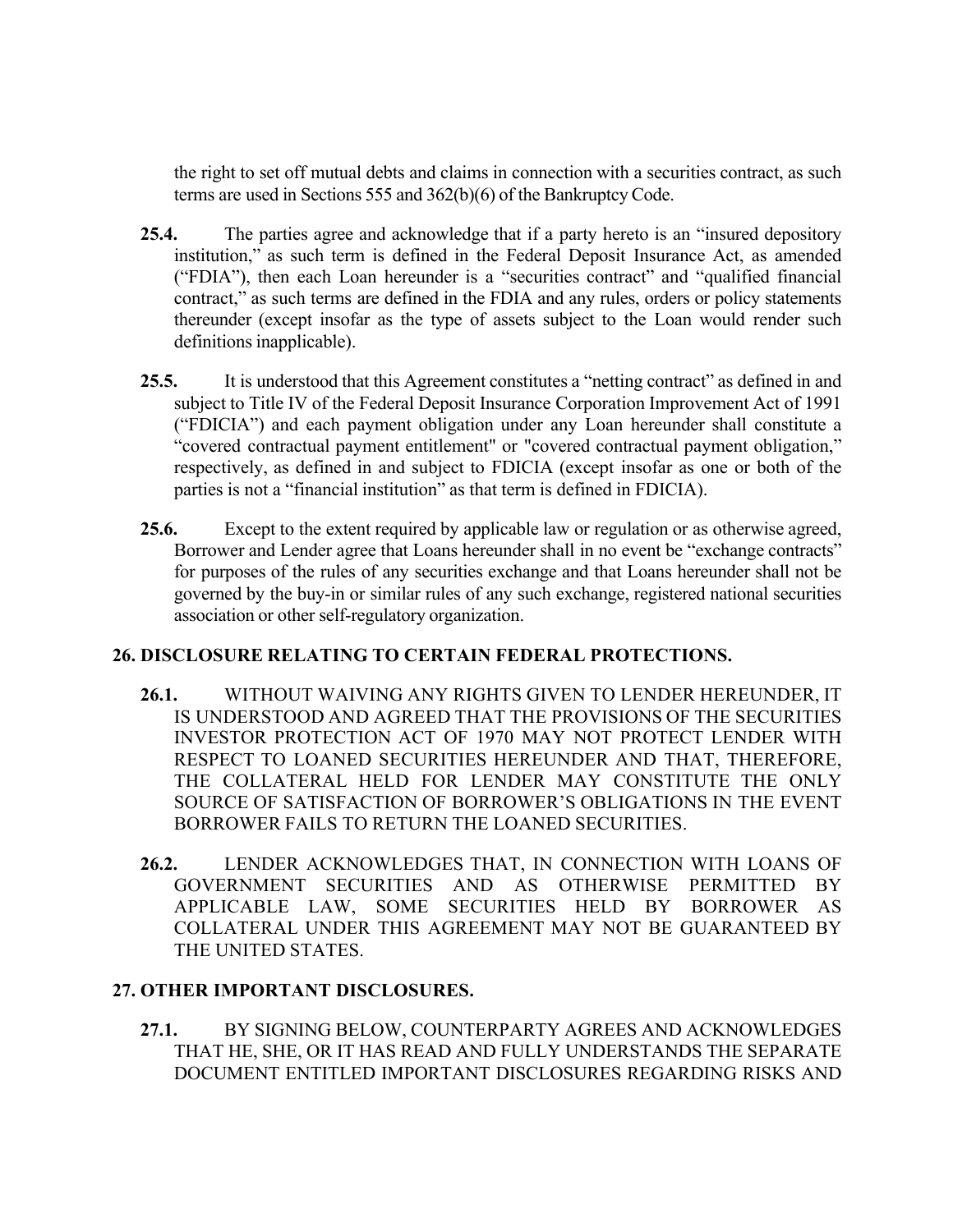the right to set off mutual debts and claims in connection with a securities contract, as such terms are used in Sections 555 and 362(b)(6) of the Bankruptcy Code.

- **25.4.** The parties agree and acknowledge that if a party hereto is an "insured depository institution," as such term is defined in the Federal Deposit Insurance Act, as amended ("FDIA"), then each Loan hereunder is a "securities contract" and "qualified financial contract," as such terms are defined in the FDIA and any rules, orders or policy statements thereunder (except insofar as the type of assets subject to the Loan would render such definitions inapplicable).
- **25.5.** It is understood that this Agreement constitutes a "netting contract" as defined in and subject to Title IV of the Federal Deposit Insurance Corporation Improvement Act of 1991 ("FDICIA") and each payment obligation under any Loan hereunder shall constitute a "covered contractual payment entitlement" or "covered contractual payment obligation," respectively, as defined in and subject to FDICIA (except insofar as one or both of the parties is not a "financial institution" as that term is defined in FDICIA).
- **25.6.** Except to the extent required by applicable law or regulation or as otherwise agreed, Borrower and Lender agree that Loans hereunder shall in no event be "exchange contracts" for purposes of the rules of any securities exchange and that Loans hereunder shall not be governed by the buy-in or similar rules of any such exchange, registered national securities association or other self-regulatory organization.

## **26. DISCLOSURE RELATING TO CERTAIN FEDERAL PROTECTIONS.**

- **26.1.** WITHOUT WAIVING ANY RIGHTS GIVEN TO LENDER HEREUNDER, IT IS UNDERSTOOD AND AGREED THAT THE PROVISIONS OF THE SECURITIES INVESTOR PROTECTION ACT OF 1970 MAY NOT PROTECT LENDER WITH RESPECT TO LOANED SECURITIES HEREUNDER AND THAT, THEREFORE, THE COLLATERAL HELD FOR LENDER MAY CONSTITUTE THE ONLY SOURCE OF SATISFACTION OF BORROWER'S OBLIGATIONS IN THE EVENT BORROWER FAILS TO RETURN THE LOANED SECURITIES.
- **26.2.** LENDER ACKNOWLEDGES THAT, IN CONNECTION WITH LOANS OF GOVERNMENT SECURITIES AND AS OTHERWISE PERMITTED BY APPLICABLE LAW, SOME SECURITIES HELD BY BORROWER AS COLLATERAL UNDER THIS AGREEMENT MAY NOT BE GUARANTEED BY THE UNITED STATES.

## **27. OTHER IMPORTANT DISCLOSURES.**

**27.1.** BY SIGNING BELOW, COUNTERPARTY AGREES AND ACKNOWLEDGES THAT HE, SHE, OR IT HAS READ AND FULLY UNDERSTANDS THE SEPARATE DOCUMENT ENTITLED IMPORTANT DISCLOSURES REGARDING RISKS AND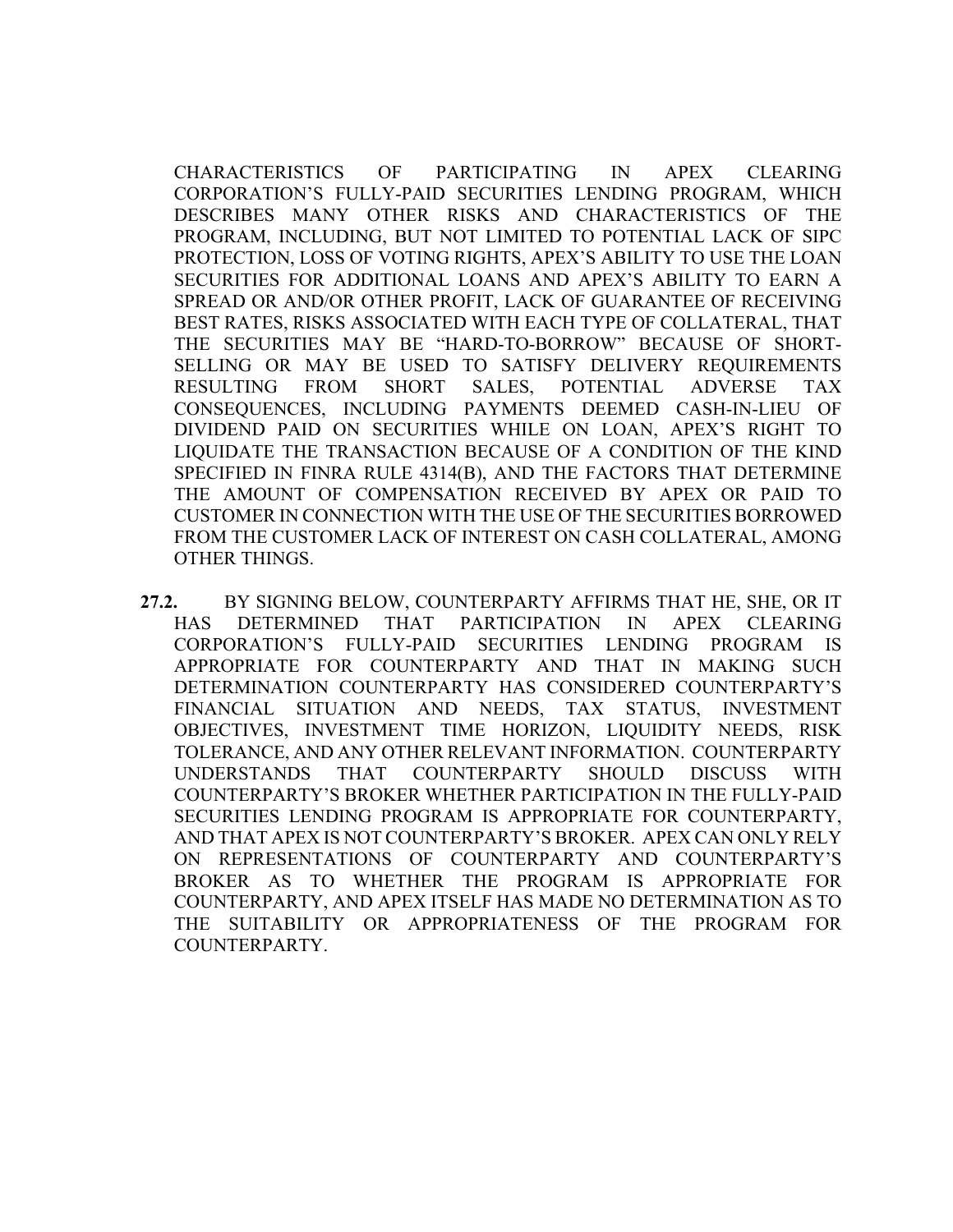CHARACTERISTICS OF PARTICIPATING IN APEX CLEARING CORPORATION'S FULLY-PAID SECURITIES LENDING PROGRAM, WHICH DESCRIBES MANY OTHER RISKS AND CHARACTERISTICS OF THE PROGRAM, INCLUDING, BUT NOT LIMITED TO POTENTIAL LACK OF SIPC PROTECTION, LOSS OF VOTING RIGHTS, APEX'S ABILITY TO USE THE LOAN SECURITIES FOR ADDITIONAL LOANS AND APEX'S ABILITY TO EARN A SPREAD OR AND/OR OTHER PROFIT, LACK OF GUARANTEE OF RECEIVING BEST RATES, RISKS ASSOCIATED WITH EACH TYPE OF COLLATERAL, THAT THE SECURITIES MAY BE "HARD-TO-BORROW" BECAUSE OF SHORT-SELLING OR MAY BE USED TO SATISFY DELIVERY REQUIREMENTS RESULTING FROM SHORT SALES, POTENTIAL ADVERSE TAX CONSEQUENCES, INCLUDING PAYMENTS DEEMED CASH-IN-LIEU OF DIVIDEND PAID ON SECURITIES WHILE ON LOAN, APEX'S RIGHT TO LIQUIDATE THE TRANSACTION BECAUSE OF A CONDITION OF THE KIND SPECIFIED IN FINRA RULE 4314(B), AND THE FACTORS THAT DETERMINE THE AMOUNT OF COMPENSATION RECEIVED BY APEX OR PAID TO CUSTOMER IN CONNECTION WITH THE USE OF THE SECURITIES BORROWED FROM THE CUSTOMER LACK OF INTEREST ON CASH COLLATERAL, AMONG OTHER THINGS.

**27.2.** BY SIGNING BELOW, COUNTERPARTY AFFIRMS THAT HE, SHE, OR IT HAS DETERMINED THAT PARTICIPATION IN APEX CLEARING CORPORATION'S FULLY-PAID SECURITIES LENDING PROGRAM IS APPROPRIATE FOR COUNTERPARTY AND THAT IN MAKING SUCH DETERMINATION COUNTERPARTY HAS CONSIDERED COUNTERPARTY'S FINANCIAL SITUATION AND NEEDS, TAX STATUS, INVESTMENT OBJECTIVES, INVESTMENT TIME HORIZON, LIQUIDITY NEEDS, RISK TOLERANCE, AND ANY OTHER RELEVANT INFORMATION. COUNTERPARTY UNDERSTANDS THAT COUNTERPARTY SHOULD DISCUSS WITH COUNTERPARTY'S BROKER WHETHER PARTICIPATION IN THE FULLY-PAID SECURITIES LENDING PROGRAM IS APPROPRIATE FOR COUNTERPARTY, AND THAT APEX IS NOT COUNTERPARTY'S BROKER. APEX CAN ONLY RELY ON REPRESENTATIONS OF COUNTERPARTY AND COUNTERPARTY'S BROKER AS TO WHETHER THE PROGRAM IS APPROPRIATE FOR COUNTERPARTY, AND APEX ITSELF HAS MADE NO DETERMINATION AS TO THE SUITABILITY OR APPROPRIATENESS OF THE PROGRAM FOR COUNTERPARTY.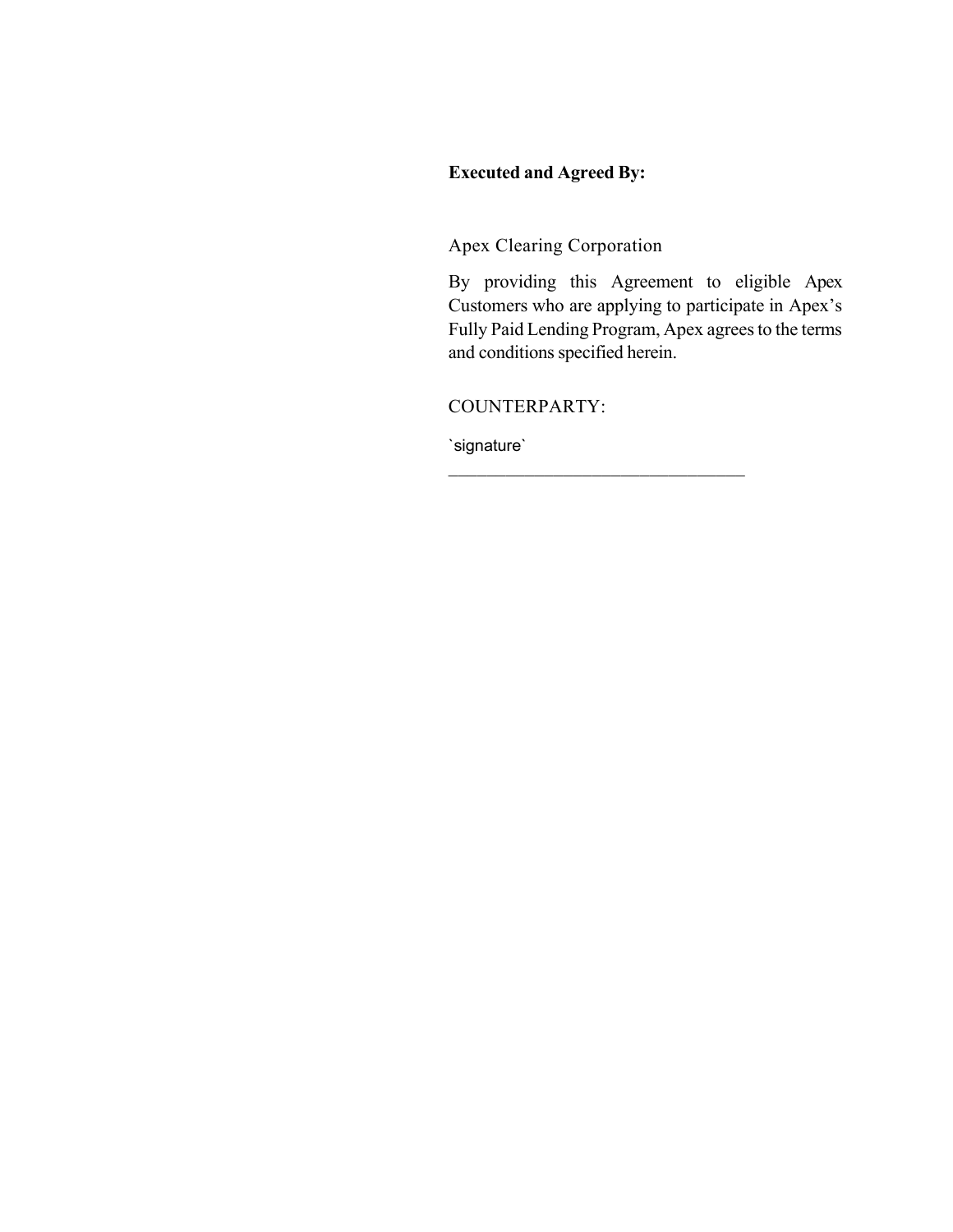# **Executed and Agreed By:**

Apex Clearing Corporation

By providing this Agreement to eligible Apex Customers who are applying to participate in Apex's Fully Paid Lending Program, Apex agrees to the terms and conditions specified herein.

COUNTERPARTY:

`signature`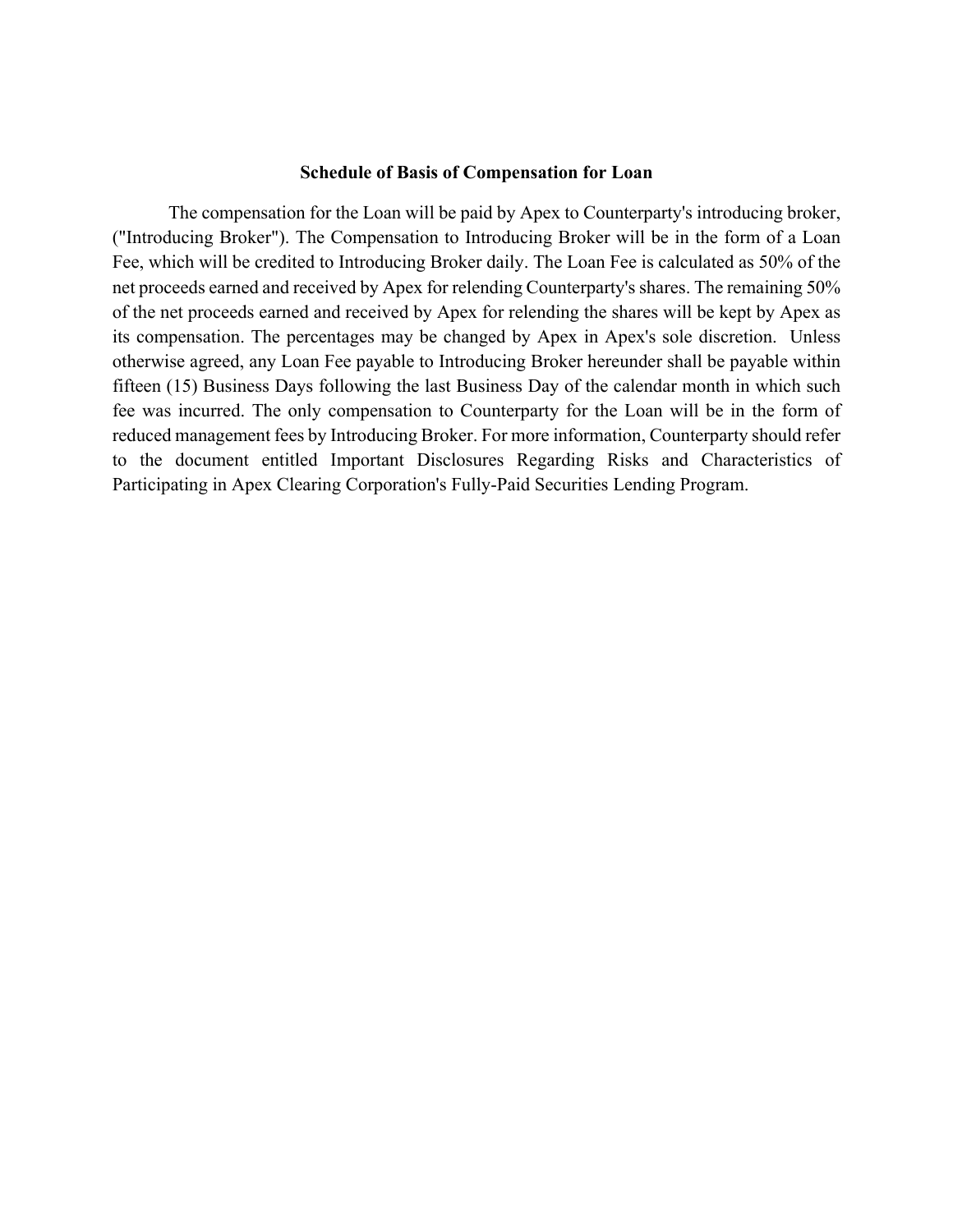#### **Schedule of Basis of Compensation for Loan**

The compensation for the Loan will be paid by Apex to Counterparty's introducing broker, ("Introducing Broker"). The Compensation to Introducing Broker will be in the form of a Loan Fee, which will be credited to Introducing Broker daily. The Loan Fee is calculated as 50% of the net proceeds earned and received by Apex for relending Counterparty's shares. The remaining 50% of the net proceeds earned and received by Apex for relending the shares will be kept by Apex as its compensation. The percentages may be changed by Apex in Apex's sole discretion. Unless otherwise agreed, any Loan Fee payable to Introducing Broker hereunder shall be payable within fifteen (15) Business Days following the last Business Day of the calendar month in which such fee was incurred. The only compensation to Counterparty for the Loan will be in the form of reduced management fees by Introducing Broker. For more information, Counterparty should refer to the document entitled Important Disclosures Regarding Risks and Characteristics of Participating in Apex Clearing Corporation's Fully-Paid Securities Lending Program.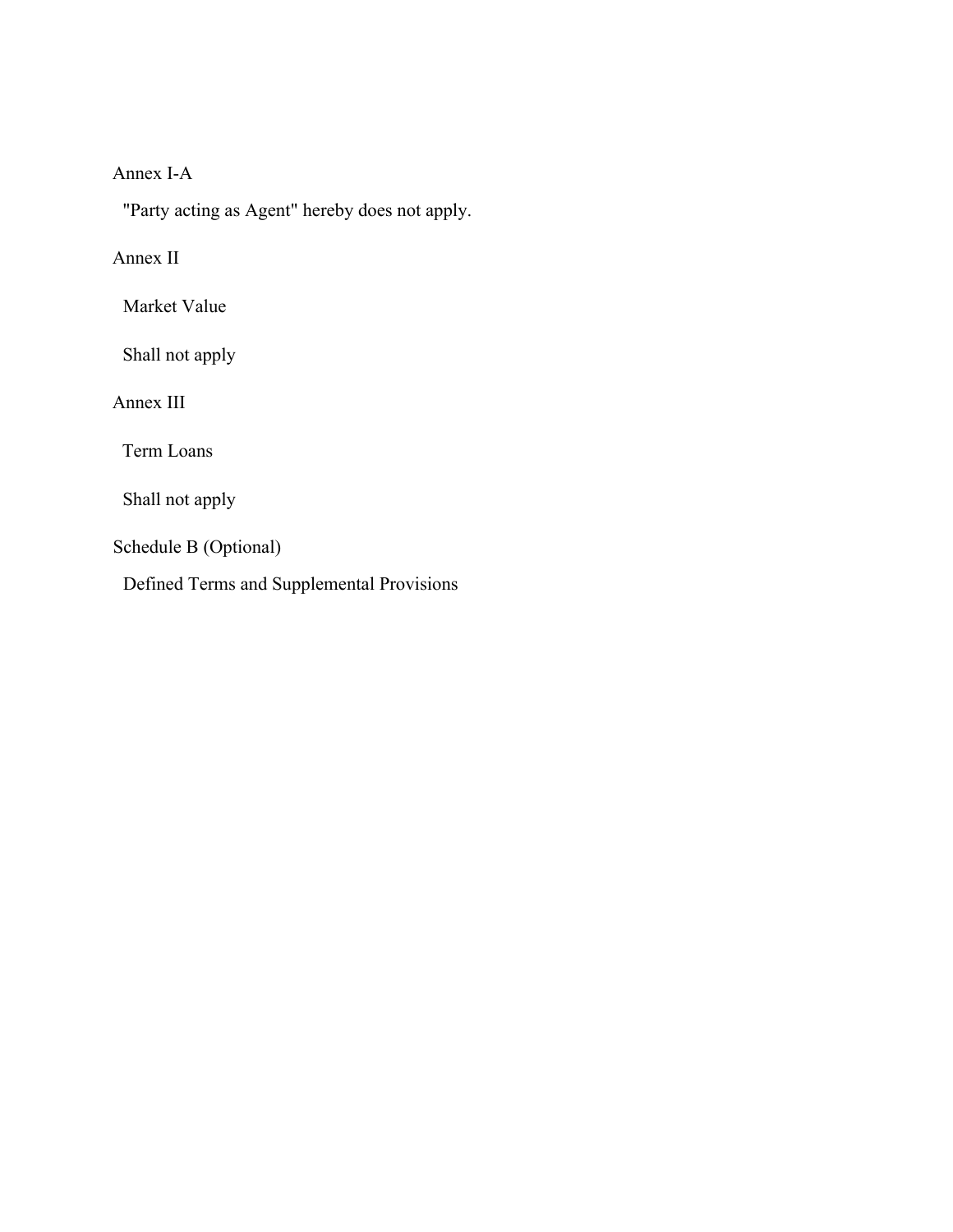# Annex I-A

"Party acting as Agent" hereby does not apply.

# Annex II

Market Value

Shall not apply

Annex III

Term Loans

Shall not apply

Schedule B (Optional)

Defined Terms and Supplemental Provisions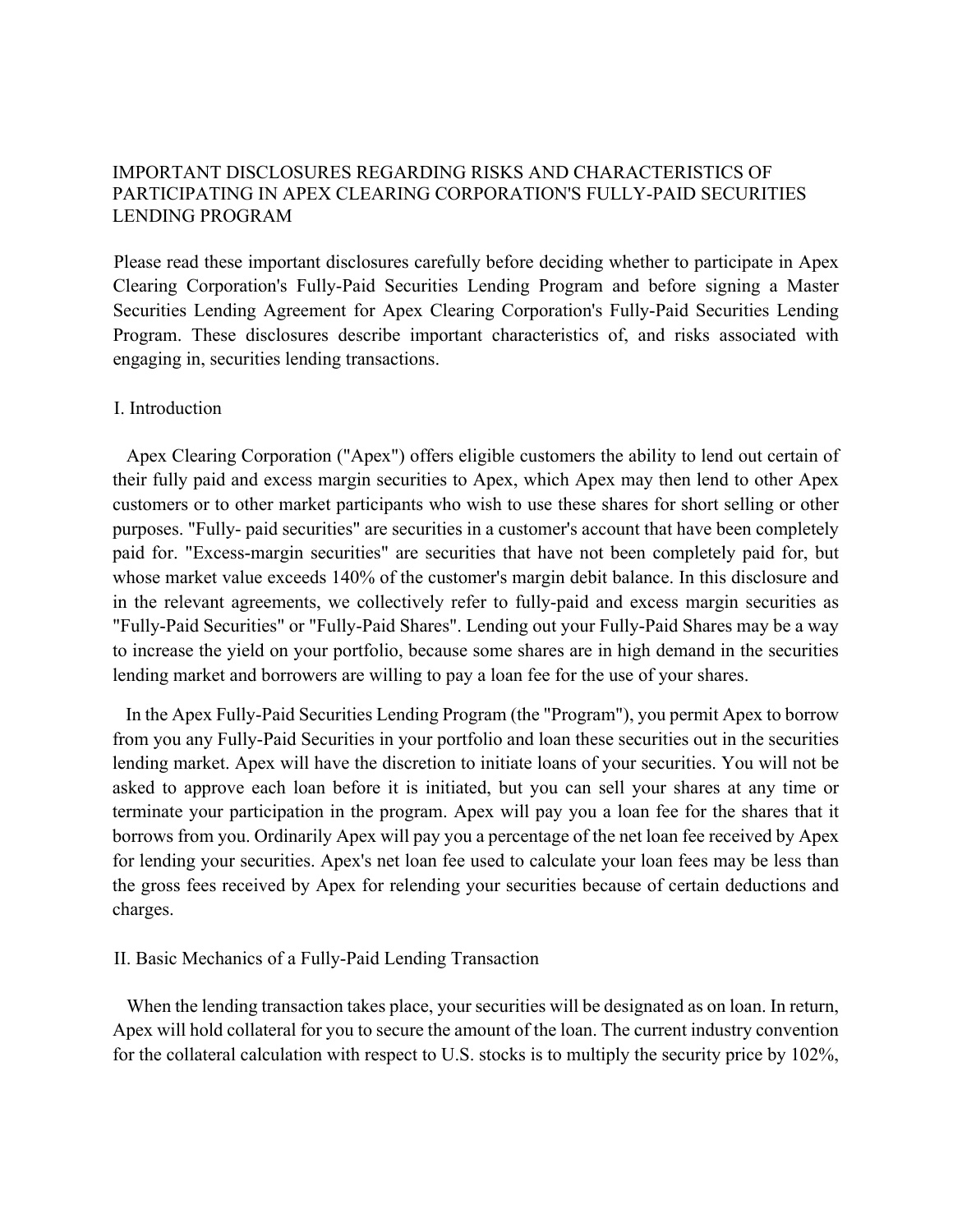## IMPORTANT DISCLOSURES REGARDING RISKS AND CHARACTERISTICS OF PARTICIPATING IN APEX CLEARING CORPORATION'S FULLY-PAID SECURITIES LENDING PROGRAM

Please read these important disclosures carefully before deciding whether to participate in Apex Clearing Corporation's Fully-Paid Securities Lending Program and before signing a Master Securities Lending Agreement for Apex Clearing Corporation's Fully-Paid Securities Lending Program. These disclosures describe important characteristics of, and risks associated with engaging in, securities lending transactions.

### I. Introduction

Apex Clearing Corporation ("Apex") offers eligible customers the ability to lend out certain of their fully paid and excess margin securities to Apex, which Apex may then lend to other Apex customers or to other market participants who wish to use these shares for short selling or other purposes. "Fully- paid securities" are securities in a customer's account that have been completely paid for. "Excess-margin securities" are securities that have not been completely paid for, but whose market value exceeds 140% of the customer's margin debit balance. In this disclosure and in the relevant agreements, we collectively refer to fully-paid and excess margin securities as "Fully-Paid Securities" or "Fully-Paid Shares". Lending out your Fully-Paid Shares may be a way to increase the yield on your portfolio, because some shares are in high demand in the securities lending market and borrowers are willing to pay a loan fee for the use of your shares.

In the Apex Fully-Paid Securities Lending Program (the "Program"), you permit Apex to borrow from you any Fully-Paid Securities in your portfolio and loan these securities out in the securities lending market. Apex will have the discretion to initiate loans of your securities. You will not be asked to approve each loan before it is initiated, but you can sell your shares at any time or terminate your participation in the program. Apex will pay you a loan fee for the shares that it borrows from you. Ordinarily Apex will pay you a percentage of the net loan fee received by Apex for lending your securities. Apex's net loan fee used to calculate your loan fees may be less than the gross fees received by Apex for relending your securities because of certain deductions and charges.

### II. Basic Mechanics of a Fully-Paid Lending Transaction

When the lending transaction takes place, your securities will be designated as on loan. In return, Apex will hold collateral for you to secure the amount of the loan. The current industry convention for the collateral calculation with respect to U.S. stocks is to multiply the security price by 102%,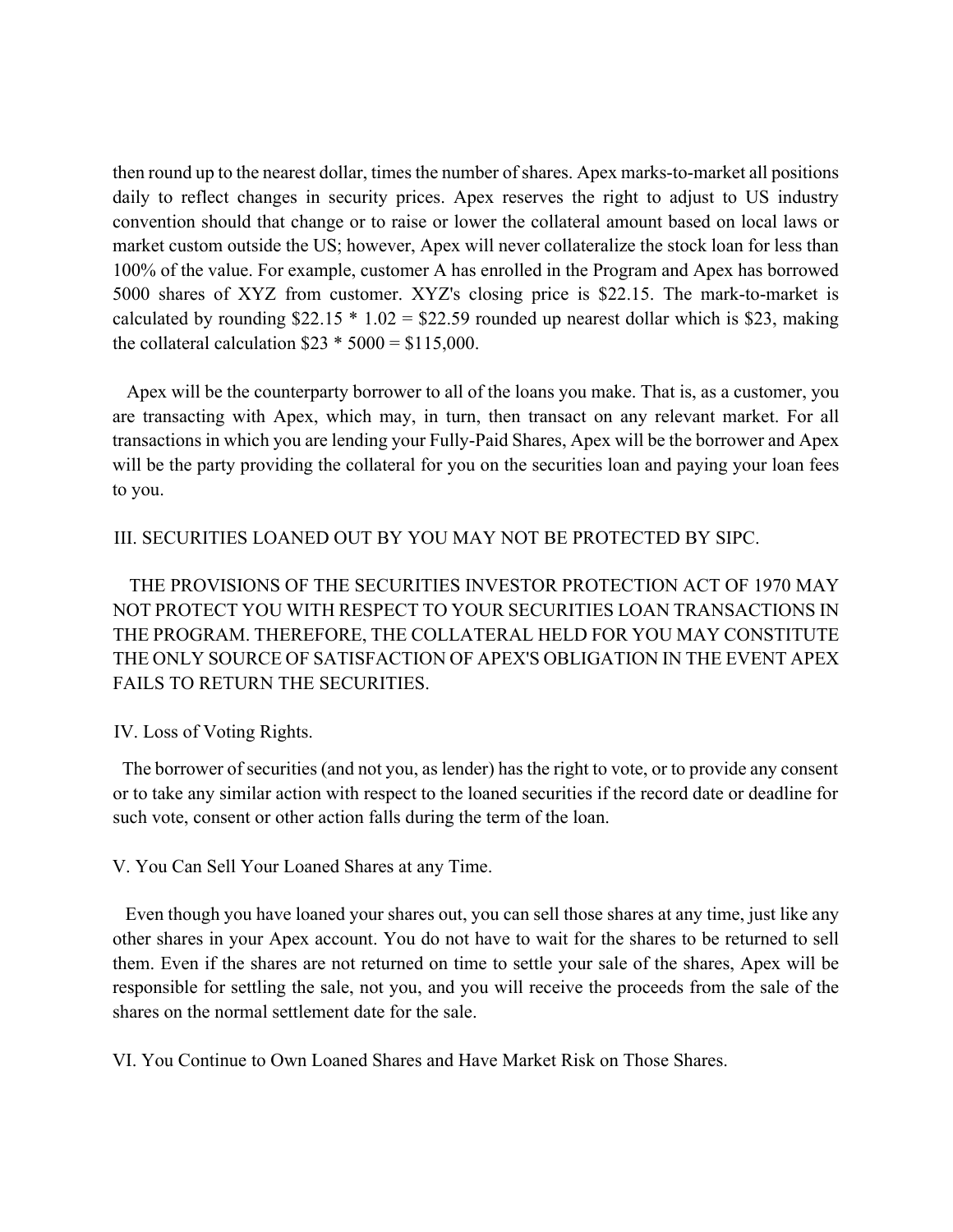then round up to the nearest dollar, times the number of shares. Apex marks-to-market all positions daily to reflect changes in security prices. Apex reserves the right to adjust to US industry convention should that change or to raise or lower the collateral amount based on local laws or market custom outside the US; however, Apex will never collateralize the stock loan for less than 100% of the value. For example, customer A has enrolled in the Program and Apex has borrowed 5000 shares of XYZ from customer. XYZ's closing price is \$22.15. The mark-to-market is calculated by rounding  $$22.15 * 1.02 = $22.59$  rounded up nearest dollar which is \$23, making the collateral calculation  $$23 * 5000 = $115,000$ .

Apex will be the counterparty borrower to all of the loans you make. That is, as a customer, you are transacting with Apex, which may, in turn, then transact on any relevant market. For all transactions in which you are lending your Fully-Paid Shares, Apex will be the borrower and Apex will be the party providing the collateral for you on the securities loan and paying your loan fees to you.

### III. SECURITIES LOANED OUT BY YOU MAY NOT BE PROTECTED BY SIPC.

THE PROVISIONS OF THE SECURITIES INVESTOR PROTECTION ACT OF 1970 MAY NOT PROTECT YOU WITH RESPECT TO YOUR SECURITIES LOAN TRANSACTIONS IN THE PROGRAM. THEREFORE, THE COLLATERAL HELD FOR YOU MAY CONSTITUTE THE ONLY SOURCE OF SATISFACTION OF APEX'S OBLIGATION IN THE EVENT APEX FAILS TO RETURN THE SECURITIES.

### IV. Loss of Voting Rights.

The borrower of securities (and not you, as lender) has the right to vote, or to provide any consent or to take any similar action with respect to the loaned securities if the record date or deadline for such vote, consent or other action falls during the term of the loan.

V. You Can Sell Your Loaned Shares at any Time.

Even though you have loaned your shares out, you can sell those shares at any time, just like any other shares in your Apex account. You do not have to wait for the shares to be returned to sell them. Even if the shares are not returned on time to settle your sale of the shares, Apex will be responsible for settling the sale, not you, and you will receive the proceeds from the sale of the shares on the normal settlement date for the sale.

VI. You Continue to Own Loaned Shares and Have Market Risk on Those Shares.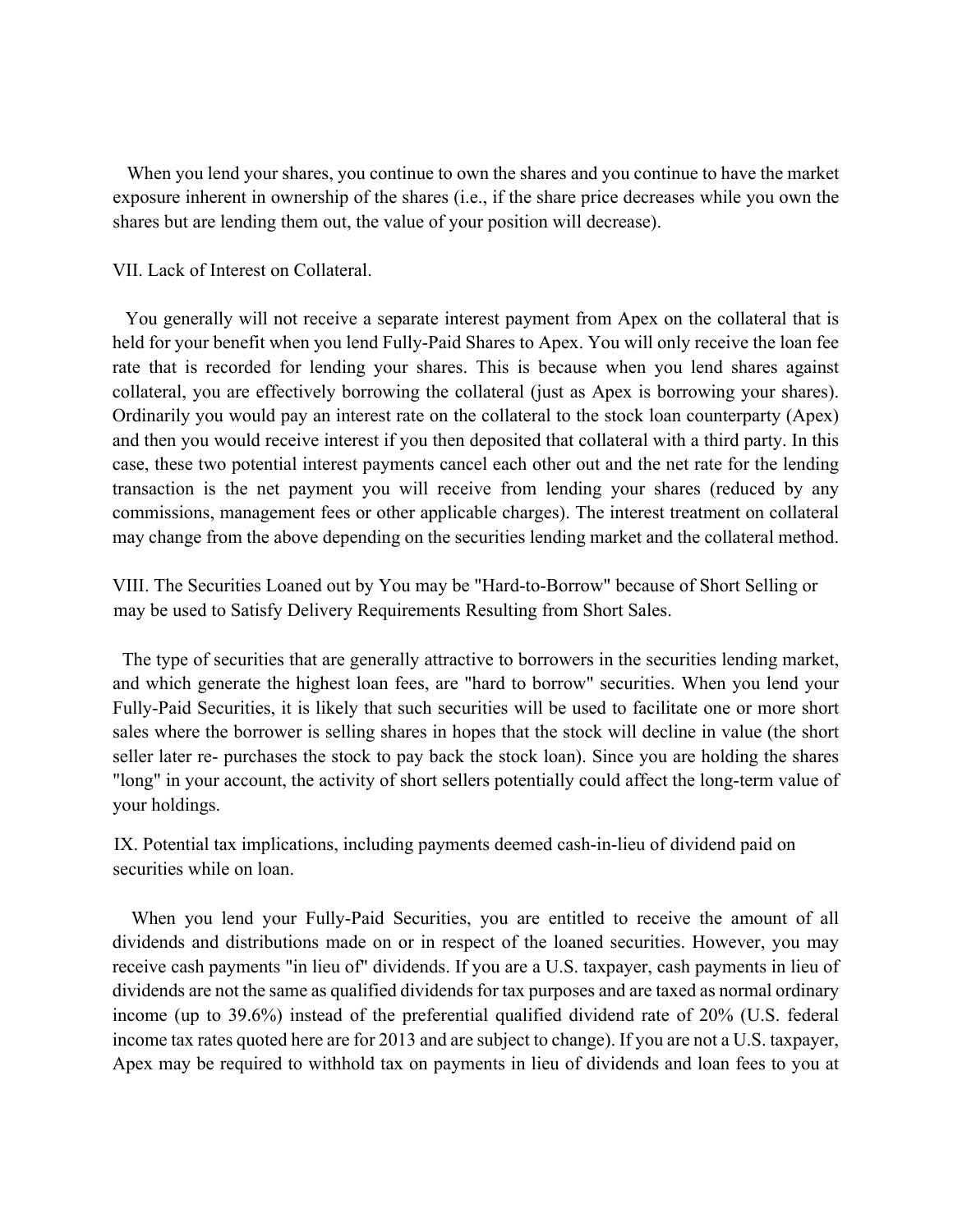When you lend your shares, you continue to own the shares and you continue to have the market exposure inherent in ownership of the shares (i.e., if the share price decreases while you own the shares but are lending them out, the value of your position will decrease).

VII. Lack of Interest on Collateral.

You generally will not receive a separate interest payment from Apex on the collateral that is held for your benefit when you lend Fully-Paid Shares to Apex. You will only receive the loan fee rate that is recorded for lending your shares. This is because when you lend shares against collateral, you are effectively borrowing the collateral (just as Apex is borrowing your shares). Ordinarily you would pay an interest rate on the collateral to the stock loan counterparty (Apex) and then you would receive interest if you then deposited that collateral with a third party. In this case, these two potential interest payments cancel each other out and the net rate for the lending transaction is the net payment you will receive from lending your shares (reduced by any commissions, management fees or other applicable charges). The interest treatment on collateral may change from the above depending on the securities lending market and the collateral method.

VIII. The Securities Loaned out by You may be "Hard-to-Borrow" because of Short Selling or may be used to Satisfy Delivery Requirements Resulting from Short Sales.

The type of securities that are generally attractive to borrowers in the securities lending market, and which generate the highest loan fees, are "hard to borrow" securities. When you lend your Fully-Paid Securities, it is likely that such securities will be used to facilitate one or more short sales where the borrower is selling shares in hopes that the stock will decline in value (the short seller later re- purchases the stock to pay back the stock loan). Since you are holding the shares "long" in your account, the activity of short sellers potentially could affect the long-term value of your holdings.

IX. Potential tax implications, including payments deemed cash-in-lieu of dividend paid on securities while on loan.

When you lend your Fully-Paid Securities, you are entitled to receive the amount of all dividends and distributions made on or in respect of the loaned securities. However, you may receive cash payments "in lieu of" dividends. If you are a U.S. taxpayer, cash payments in lieu of dividends are not the same as qualified dividends for tax purposes and are taxed as normal ordinary income (up to 39.6%) instead of the preferential qualified dividend rate of 20% (U.S. federal income tax rates quoted here are for 2013 and are subject to change). If you are not a U.S. taxpayer, Apex may be required to withhold tax on payments in lieu of dividends and loan fees to you at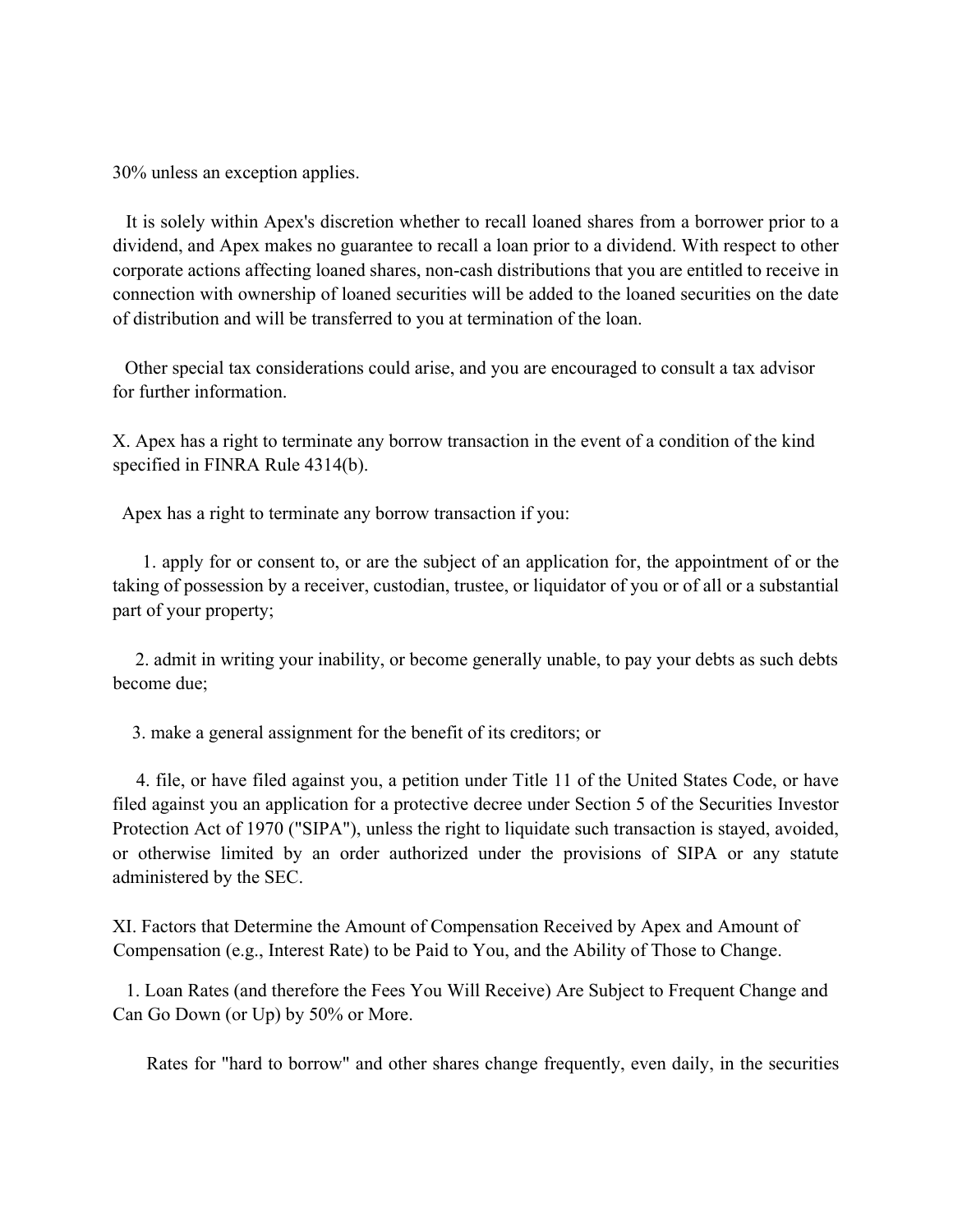30% unless an exception applies.

It is solely within Apex's discretion whether to recall loaned shares from a borrower prior to a dividend, and Apex makes no guarantee to recall a loan prior to a dividend. With respect to other corporate actions affecting loaned shares, non-cash distributions that you are entitled to receive in connection with ownership of loaned securities will be added to the loaned securities on the date of distribution and will be transferred to you at termination of the loan.

Other special tax considerations could arise, and you are encouraged to consult a tax advisor for further information.

X. Apex has a right to terminate any borrow transaction in the event of a condition of the kind specified in FINRA Rule 4314(b).

Apex has a right to terminate any borrow transaction if you:

1. apply for or consent to, or are the subject of an application for, the appointment of or the taking of possession by a receiver, custodian, trustee, or liquidator of you or of all or a substantial part of your property;

2. admit in writing your inability, or become generally unable, to pay your debts as such debts become due;

3. make a general assignment for the benefit of its creditors; or

4. file, or have filed against you, a petition under Title 11 of the United States Code, or have filed against you an application for a protective decree under Section 5 of the Securities Investor Protection Act of 1970 ("SIPA"), unless the right to liquidate such transaction is stayed, avoided, or otherwise limited by an order authorized under the provisions of SIPA or any statute administered by the SEC.

XI. Factors that Determine the Amount of Compensation Received by Apex and Amount of Compensation (e.g., Interest Rate) to be Paid to You, and the Ability of Those to Change.

1. Loan Rates (and therefore the Fees You Will Receive) Are Subject to Frequent Change and Can Go Down (or Up) by 50% or More.

Rates for "hard to borrow" and other shares change frequently, even daily, in the securities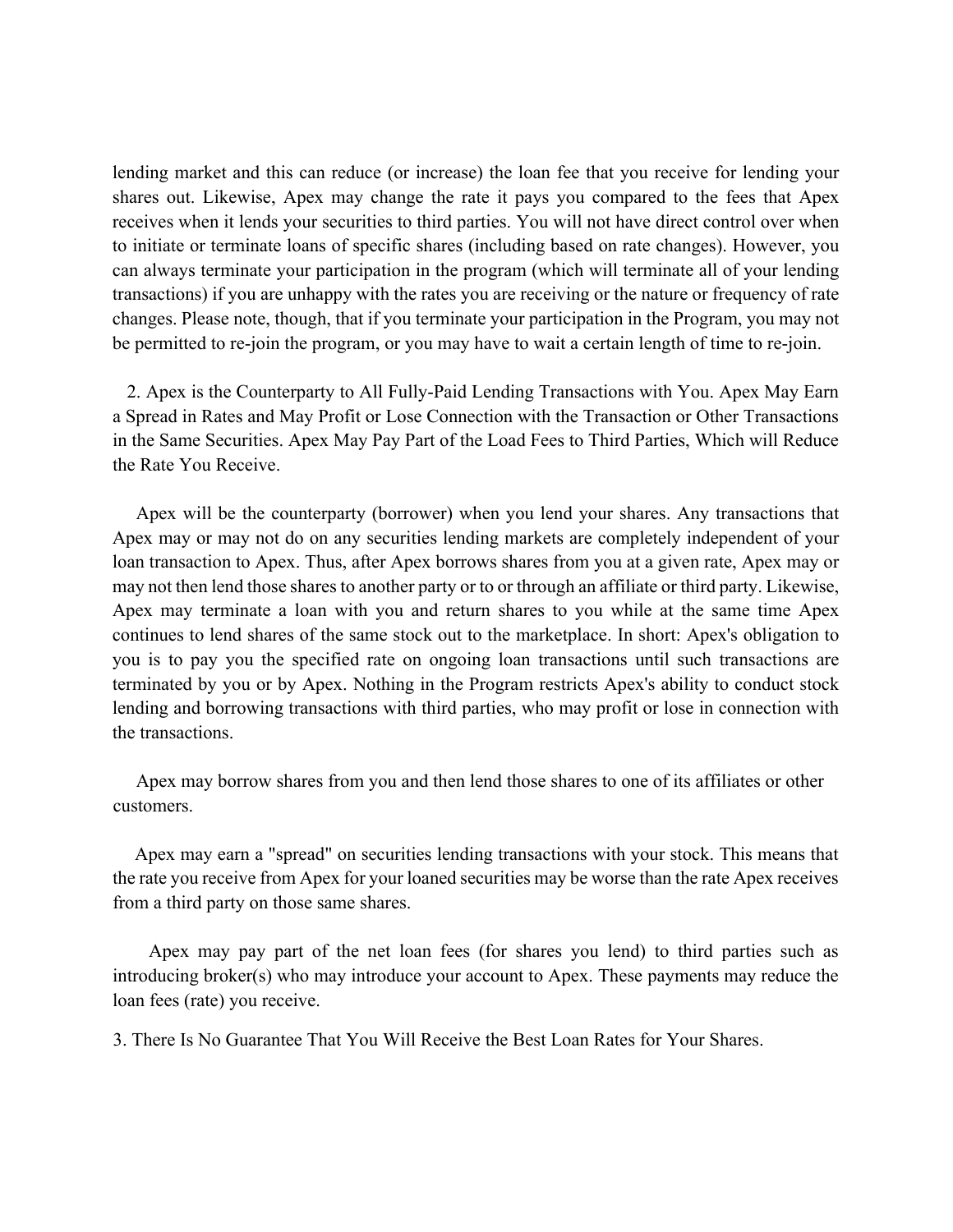lending market and this can reduce (or increase) the loan fee that you receive for lending your shares out. Likewise, Apex may change the rate it pays you compared to the fees that Apex receives when it lends your securities to third parties. You will not have direct control over when to initiate or terminate loans of specific shares (including based on rate changes). However, you can always terminate your participation in the program (which will terminate all of your lending transactions) if you are unhappy with the rates you are receiving or the nature or frequency of rate changes. Please note, though, that if you terminate your participation in the Program, you may not be permitted to re-join the program, or you may have to wait a certain length of time to re-join.

2. Apex is the Counterparty to All Fully-Paid Lending Transactions with You. Apex May Earn a Spread in Rates and May Profit or Lose Connection with the Transaction or Other Transactions in the Same Securities. Apex May Pay Part of the Load Fees to Third Parties, Which will Reduce the Rate You Receive.

Apex will be the counterparty (borrower) when you lend your shares. Any transactions that Apex may or may not do on any securities lending markets are completely independent of your loan transaction to Apex. Thus, after Apex borrows shares from you at a given rate, Apex may or may not then lend those shares to another party or to or through an affiliate or third party. Likewise, Apex may terminate a loan with you and return shares to you while at the same time Apex continues to lend shares of the same stock out to the marketplace. In short: Apex's obligation to you is to pay you the specified rate on ongoing loan transactions until such transactions are terminated by you or by Apex. Nothing in the Program restricts Apex's ability to conduct stock lending and borrowing transactions with third parties, who may profit or lose in connection with the transactions.

Apex may borrow shares from you and then lend those shares to one of its affiliates or other customers.

Apex may earn a "spread" on securities lending transactions with your stock. This means that the rate you receive from Apex for your loaned securities may be worse than the rate Apex receives from a third party on those same shares.

Apex may pay part of the net loan fees (for shares you lend) to third parties such as introducing broker(s) who may introduce your account to Apex. These payments may reduce the loan fees (rate) you receive.

3. There Is No Guarantee That You Will Receive the Best Loan Rates for Your Shares.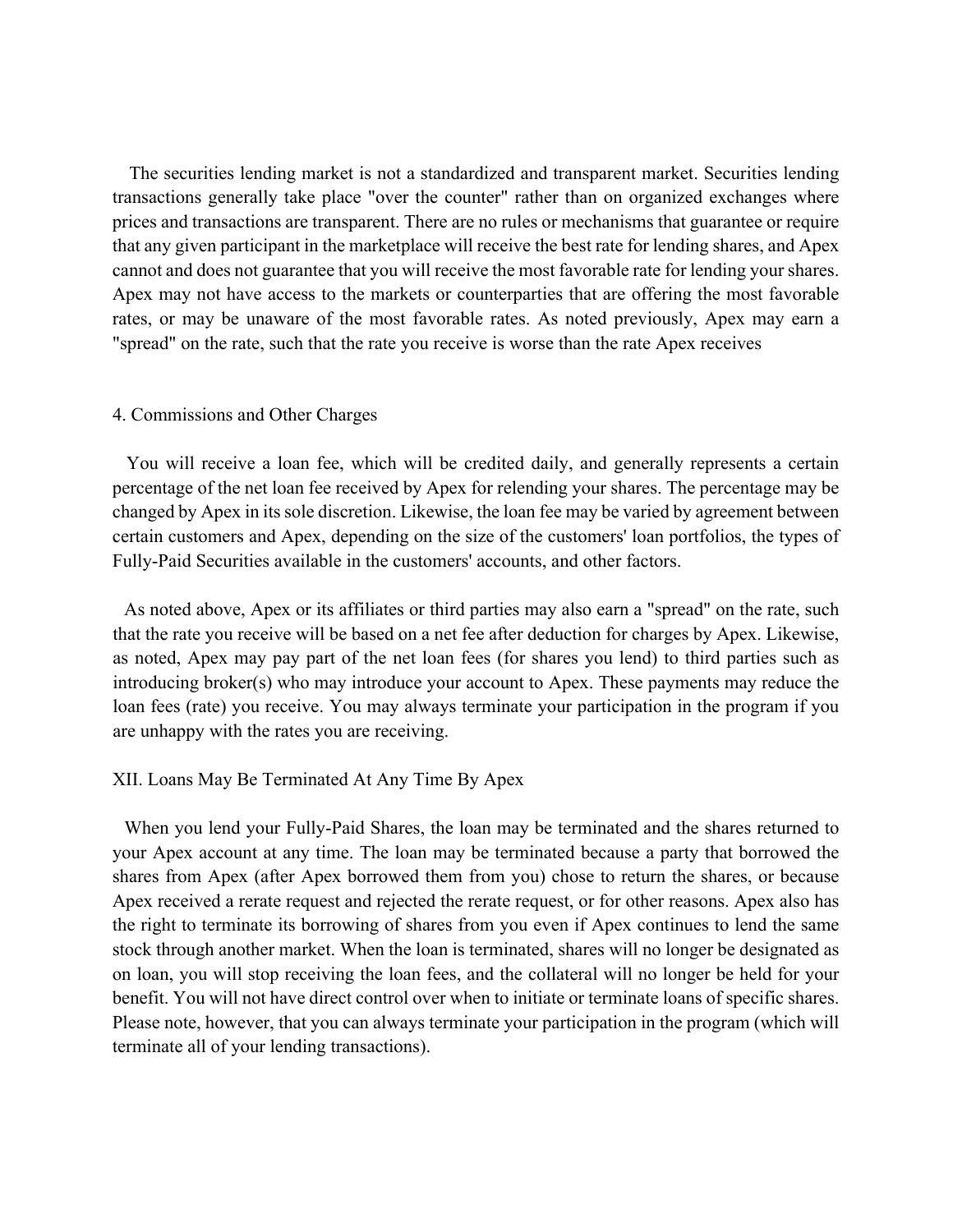The securities lending market is not a standardized and transparent market. Securities lending transactions generally take place "over the counter" rather than on organized exchanges where prices and transactions are transparent. There are no rules or mechanisms that guarantee or require that any given participant in the marketplace will receive the best rate for lending shares, and Apex cannot and does not guarantee that you will receive the most favorable rate for lending your shares. Apex may not have access to the markets or counterparties that are offering the most favorable rates, or may be unaware of the most favorable rates. As noted previously, Apex may earn a "spread" on the rate, such that the rate you receive is worse than the rate Apex receives

#### 4. Commissions and Other Charges

You will receive a loan fee, which will be credited daily, and generally represents a certain percentage of the net loan fee received by Apex for relending your shares. The percentage may be changed by Apex in its sole discretion. Likewise, the loan fee may be varied by agreement between certain customers and Apex, depending on the size of the customers' loan portfolios, the types of Fully-Paid Securities available in the customers' accounts, and other factors.

As noted above, Apex or its affiliates or third parties may also earn a "spread" on the rate, such that the rate you receive will be based on a net fee after deduction for charges by Apex. Likewise, as noted, Apex may pay part of the net loan fees (for shares you lend) to third parties such as introducing broker(s) who may introduce your account to Apex. These payments may reduce the loan fees (rate) you receive. You may always terminate your participation in the program if you are unhappy with the rates you are receiving.

#### XII. Loans May Be Terminated At Any Time By Apex

When you lend your Fully-Paid Shares, the loan may be terminated and the shares returned to your Apex account at any time. The loan may be terminated because a party that borrowed the shares from Apex (after Apex borrowed them from you) chose to return the shares, or because Apex received a rerate request and rejected the rerate request, or for other reasons. Apex also has the right to terminate its borrowing of shares from you even if Apex continues to lend the same stock through another market. When the loan is terminated, shares will no longer be designated as on loan, you will stop receiving the loan fees, and the collateral will no longer be held for your benefit. You will not have direct control over when to initiate or terminate loans of specific shares. Please note, however, that you can always terminate your participation in the program (which will terminate all of your lending transactions).